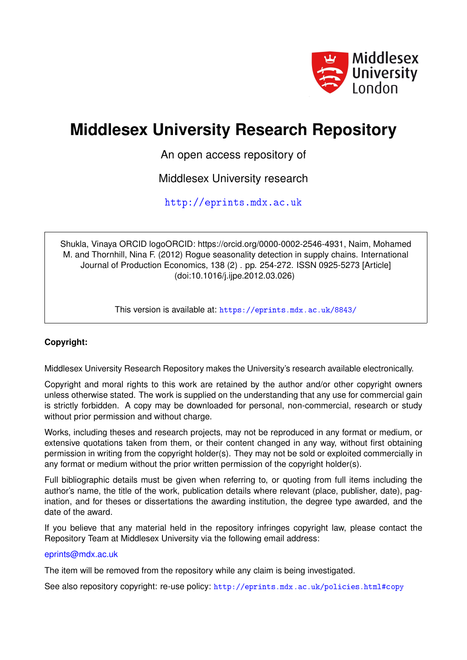

# **Middlesex University Research Repository**

An open access repository of

Middlesex University research

<http://eprints.mdx.ac.uk>

Shukla, Vinaya ORCID logoORCID: https://orcid.org/0000-0002-2546-4931, Naim, Mohamed M. and Thornhill, Nina F. (2012) Rogue seasonality detection in supply chains. International Journal of Production Economics, 138 (2) . pp. 254-272. ISSN 0925-5273 [Article] (doi:10.1016/j.ijpe.2012.03.026)

This version is available at: <https://eprints.mdx.ac.uk/8843/>

# **Copyright:**

Middlesex University Research Repository makes the University's research available electronically.

Copyright and moral rights to this work are retained by the author and/or other copyright owners unless otherwise stated. The work is supplied on the understanding that any use for commercial gain is strictly forbidden. A copy may be downloaded for personal, non-commercial, research or study without prior permission and without charge.

Works, including theses and research projects, may not be reproduced in any format or medium, or extensive quotations taken from them, or their content changed in any way, without first obtaining permission in writing from the copyright holder(s). They may not be sold or exploited commercially in any format or medium without the prior written permission of the copyright holder(s).

Full bibliographic details must be given when referring to, or quoting from full items including the author's name, the title of the work, publication details where relevant (place, publisher, date), pagination, and for theses or dissertations the awarding institution, the degree type awarded, and the date of the award.

If you believe that any material held in the repository infringes copyright law, please contact the Repository Team at Middlesex University via the following email address:

#### [eprints@mdx.ac.uk](mailto:eprints@mdx.ac.uk)

The item will be removed from the repository while any claim is being investigated.

See also repository copyright: re-use policy: <http://eprints.mdx.ac.uk/policies.html#copy>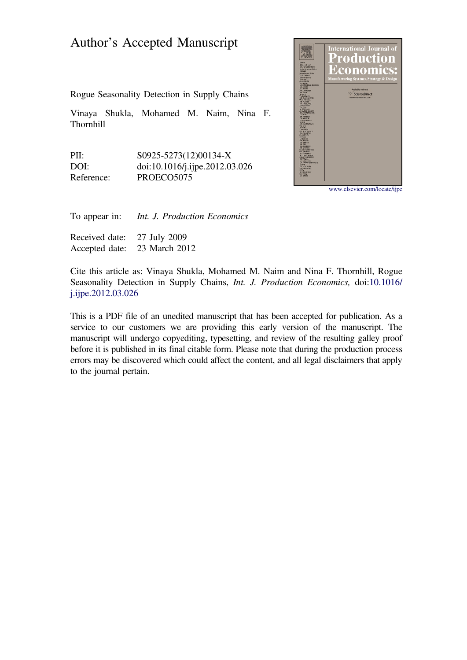# Author's Accepted Manuscript

Rogue Seasonality Detection in Supply Chains

Vinaya Shukla, Mohamed M. Naim, Nina F. Thornhill

PII: S0925-5273(12)00134-X DOI: doi[:10.1016/j.ijpe.2012.03.026](dx.doi.org/10.1016/j.ijpe.2012.03.026) Reference: PROECO5075



www.elsevier.com/locate/ijpe

To appear in: *Int. J. Production Economics* 

Received date: 27 July 2009 Accepted date: 23 March 2012

Cite this article as: Vinaya Shukla, Mohamed M. Naim and Nina F. Thornhill, Rogue Seasonality Detection in Supply Chains, Int. J. Production Economics, doi:[10.1016/](dx.doi.org/10.1016/j.ijpe.2012.03.026) [j.ijpe.2012.03.026](dx.doi.org/10.1016/j.ijpe.2012.03.026)

This is a PDF file of an unedited manuscript that has been accepted for publication. As a service to our customers we are providing this early version of the manuscript. The manuscript will undergo copyediting, typesetting, and review of the resulting galley proof before it is published in its final citable form. Please note that during the production process errors may be discovered which could affect the content, and all legal disclaimers that apply to the journal pertain.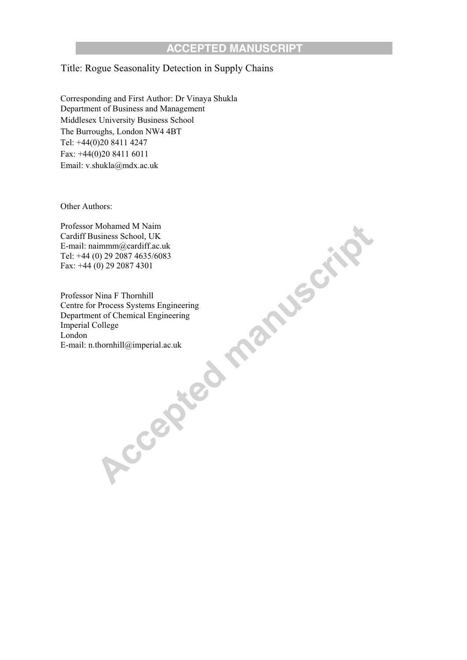# Title: Rogue Seasonality Detection in Supply Chains

Corresponding and First Author: Dr Vinaya Shukla Department of Business and Management Middlesex University Business School The Burroughs, London NW4 4BT Tel: +44(0)20 8411 4247 Fax: +44(0)20 8411 6011 Email: v.shukla@mdx.ac.uk

Professor Mohamed M Naim Cardiff Business School, UK E-mail: naimmm@cardiff.ac.uk Tel: +44 (0) 29 2087 4635/6083 Fax: +44 (0) 29 2087 4301

Other Authors:<br>
Professor Mohamed M Naim<br>
Cardiff Business School, UK<br>
E-mail: naimma@cardiff.ac.uk<br>
Fax: +44 (0) 29 2087 4350<br>
Fax: +44 (0) 29 2087 4350<br>
Professor Nina F Thornhill<br>
Department of Chemical Engineering<br>
Con Professor Nina F Thornhill Centre for Process Systems Engineering Department of Chemical Engineering Imperial College London E-mail: n.thornhill@imperial.ac.uk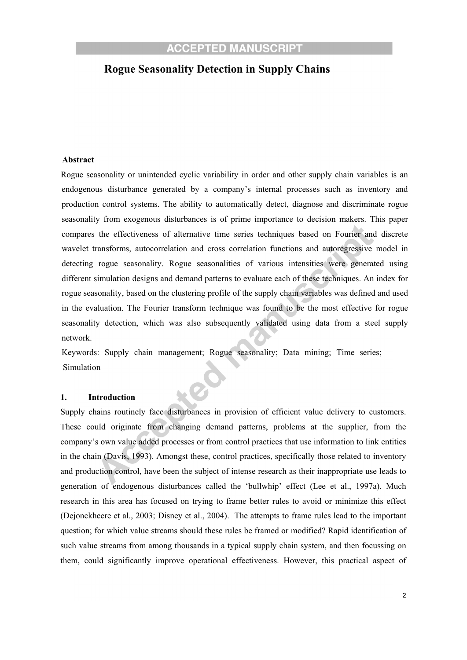# **Rogue Seasonality Detection in Supply Chains**

#### **Abstract**

Rogue seasonality or unintended cyclic variability in order and other supply chain variables is an endogenous disturbance generated by a company's internal processes such as inventory and production control systems. The ability to automatically detect, diagnose and discriminate rogue seasonality from exogenous disturbances is of prime importance to decision makers. This paper compares the effectiveness of alternative time series techniques based on Fourier and discrete wavelet transforms, autocorrelation and cross correlation functions and autoregressive model in detecting rogue seasonality. Rogue seasonalities of various intensities were generated using different simulation designs and demand patterns to evaluate each of these techniques. An index for rogue seasonality, based on the clustering profile of the supply chain variables was defined and used in the evaluation. The Fourier transform technique was found to be the most effective for rogue seasonality detection, which was also subsequently validated using data from a steel supply network.

Keywords: Supply chain management; Rogue seasonality; Data mining; Time series; Simulation

#### **1. Introduction**

Supply chains routinely face disturbances in provision of efficient value delivery to customers. These could originate from changing demand patterns, problems at the supplier, from the company's own value added processes or from control practices that use information to link entities in the chain (Davis, 1993). Amongst these, control practices, specifically those related to inventory and production control, have been the subject of intense research as their inappropriate use leads to generation of endogenous disturbances called the 'bullwhip' effect (Lee et al., 1997a). Much research in this area has focused on trying to frame better rules to avoid or minimize this effect (Dejonckheere et al., 2003; Disney et al., 2004). The attempts to frame rules lead to the important question; for which value streams should these rules be framed or modified? Rapid identification of such value streams from among thousands in a typical supply chain system, and then focussing on them, could significantly improve operational effectiveness. However, this practical aspect of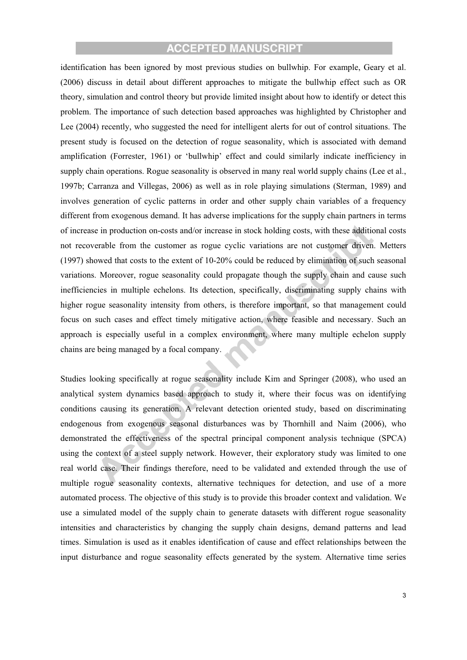identification has been ignored by most previous studies on bullwhip. For example, Geary et al. (2006) discuss in detail about different approaches to mitigate the bullwhip effect such as OR theory, simulation and control theory but provide limited insight about how to identify or detect this problem. The importance of such detection based approaches was highlighted by Christopher and Lee (2004) recently, who suggested the need for intelligent alerts for out of control situations. The present study is focused on the detection of rogue seasonality, which is associated with demand amplification (Forrester, 1961) or 'bullwhip' effect and could similarly indicate inefficiency in supply chain operations. Rogue seasonality is observed in many real world supply chains (Lee et al., 1997b; Carranza and Villegas, 2006) as well as in role playing simulations (Sterman, 1989) and involves generation of cyclic patterns in order and other supply chain variables of a frequency different from exogenous demand. It has adverse implications for the supply chain partners in terms of increase in production on-costs and/or increase in stock holding costs, with these additional costs not recoverable from the customer as rogue cyclic variations are not customer driven. Metters (1997) showed that costs to the extent of 10-20% could be reduced by elimination of such seasonal variations. Moreover, rogue seasonality could propagate though the supply chain and cause such inefficiencies in multiple echelons. Its detection, specifically, discriminating supply chains with higher rogue seasonality intensity from others, is therefore important, so that management could focus on such cases and effect timely mitigative action, where feasible and necessary. Such an approach is especially useful in a complex environment, where many multiple echelon supply chains are being managed by a focal company.

Studies looking specifically at rogue seasonality include Kim and Springer (2008), who used an analytical system dynamics based approach to study it, where their focus was on identifying conditions causing its generation. A relevant detection oriented study, based on discriminating endogenous from exogenous seasonal disturbances was by Thornhill and Naim (2006), who demonstrated the effectiveness of the spectral principal component analysis technique (SPCA) using the context of a steel supply network. However, their exploratory study was limited to one real world case. Their findings therefore, need to be validated and extended through the use of multiple rogue seasonality contexts, alternative techniques for detection, and use of a more automated process. The objective of this study is to provide this broader context and validation. We use a simulated model of the supply chain to generate datasets with different rogue seasonality intensities and characteristics by changing the supply chain designs, demand patterns and lead times. Simulation is used as it enables identification of cause and effect relationships between the input disturbance and rogue seasonality effects generated by the system. Alternative time series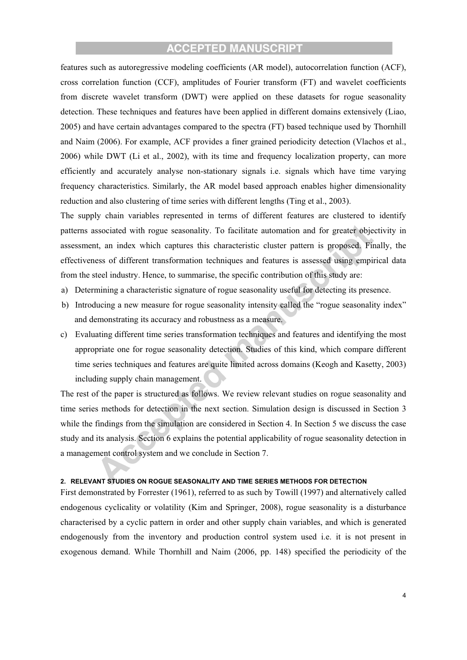features such as autoregressive modeling coefficients (AR model), autocorrelation function (ACF), cross correlation function (CCF), amplitudes of Fourier transform (FT) and wavelet coefficients from discrete wavelet transform (DWT) were applied on these datasets for rogue seasonality detection. These techniques and features have been applied in different domains extensively (Liao, 2005) and have certain advantages compared to the spectra (FT) based technique used by Thornhill and Naim (2006). For example, ACF provides a finer grained periodicity detection (Vlachos et al., 2006) while DWT (Li et al., 2002), with its time and frequency localization property, can more efficiently and accurately analyse non-stationary signals i.e. signals which have time varying frequency characteristics. Similarly, the AR model based approach enables higher dimensionality reduction and also clustering of time series with different lengths (Ting et al., 2003).

The supply chain variables represented in terms of different features are clustered to identify patterns associated with rogue seasonality. To facilitate automation and for greater objectivity in assessment, an index which captures this characteristic cluster pattern is proposed. Finally, the effectiveness of different transformation techniques and features is assessed using empirical data from the steel industry. Hence, to summarise, the specific contribution of this study are:

- a) Determining a characteristic signature of rogue seasonality useful for detecting its presence.
- b) Introducing a new measure for rogue seasonality intensity called the "rogue seasonality index" and demonstrating its accuracy and robustness as a measure.
- c) Evaluating different time series transformation techniques and features and identifying the most appropriate one for rogue seasonality detection. Studies of this kind, which compare different time series techniques and features are quite limited across domains (Keogh and Kasetty, 2003) including supply chain management.

The rest of the paper is structured as follows. We review relevant studies on rogue seasonality and time series methods for detection in the next section. Simulation design is discussed in Section 3 while the findings from the simulation are considered in Section 4. In Section 5 we discuss the case study and its analysis. Section 6 explains the potential applicability of rogue seasonality detection in a management control system and we conclude in Section 7.

#### **2. RELEVANT STUDIES ON ROGUE SEASONALITY AND TIME SERIES METHODS FOR DETECTION**

First demonstrated by Forrester (1961), referred to as such by Towill (1997) and alternatively called endogenous cyclicality or volatility (Kim and Springer, 2008), rogue seasonality is a disturbance characterised by a cyclic pattern in order and other supply chain variables, and which is generated endogenously from the inventory and production control system used i.e. it is not present in exogenous demand. While Thornhill and Naim (2006, pp. 148) specified the periodicity of the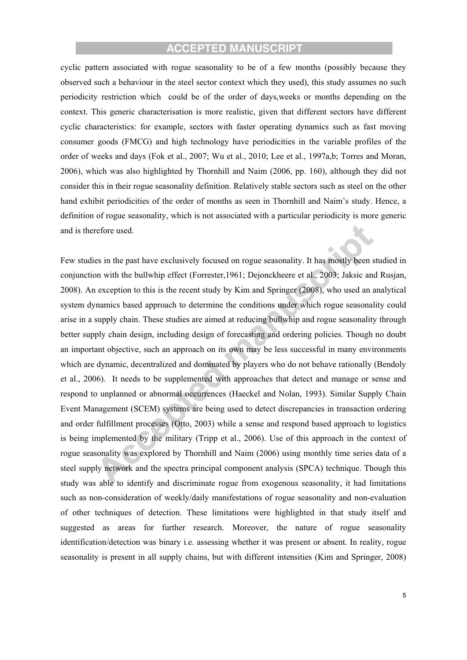cyclic pattern associated with rogue seasonality to be of a few months (possibly because they observed such a behaviour in the steel sector context which they used), this study assumes no such periodicity restriction which could be of the order of days,weeks or months depending on the context. This generic characterisation is more realistic, given that different sectors have different cyclic characteristics: for example, sectors with faster operating dynamics such as fast moving consumer goods (FMCG) and high technology have periodicities in the variable profiles of the order of weeks and days (Fok et al., 2007; Wu et al., 2010; Lee et al., 1997a,b; Torres and Moran, 2006), which was also highlighted by Thornhill and Naim (2006, pp. 160), although they did not consider this in their rogue seasonality definition. Relatively stable sectors such as steel on the other hand exhibit periodicities of the order of months as seen in Thornhill and Naim's study. Hence, a definition of rogue seasonality, which is not associated with a particular periodicity is more generic and is therefore used.

Few studies in the past have exclusively focused on rogue seasonality. It has mostly been studied in conjunction with the bullwhip effect (Forrester,1961; Dejonckheere et al., 2003; Jaksic and Rusjan, 2008). An exception to this is the recent study by Kim and Springer (2008), who used an analytical system dynamics based approach to determine the conditions under which rogue seasonality could arise in a supply chain. These studies are aimed at reducing bullwhip and rogue seasonality through better supply chain design, including design of forecasting and ordering policies. Though no doubt an important objective, such an approach on its own may be less successful in many environments which are dynamic, decentralized and dominated by players who do not behave rationally (Bendoly et al., 2006). It needs to be supplemented with approaches that detect and manage or sense and respond to unplanned or abnormal occurrences (Haeckel and Nolan, 1993). Similar Supply Chain Event Management (SCEM) systems are being used to detect discrepancies in transaction ordering and order fulfillment processes (Otto, 2003) while a sense and respond based approach to logistics is being implemented by the military (Tripp et al., 2006). Use of this approach in the context of rogue seasonality was explored by Thornhill and Naim (2006) using monthly time series data of a steel supply network and the spectra principal component analysis (SPCA) technique. Though this study was able to identify and discriminate rogue from exogenous seasonality, it had limitations such as non-consideration of weekly/daily manifestations of rogue seasonality and non-evaluation of other techniques of detection. These limitations were highlighted in that study itself and suggested as areas for further research. Moreover, the nature of rogue seasonality identification/detection was binary i.e. assessing whether it was present or absent. In reality, rogue seasonality is present in all supply chains, but with different intensities (Kim and Springer, 2008)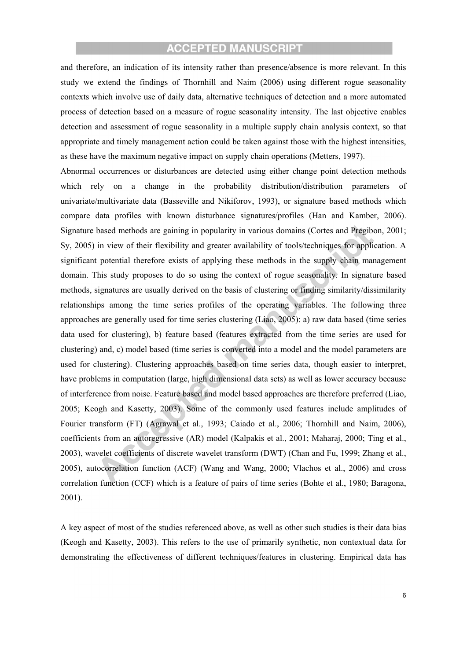and therefore, an indication of its intensity rather than presence/absence is more relevant. In this study we extend the findings of Thornhill and Naim (2006) using different rogue seasonality contexts which involve use of daily data, alternative techniques of detection and a more automated process of detection based on a measure of rogue seasonality intensity. The last objective enables detection and assessment of rogue seasonality in a multiple supply chain analysis context, so that appropriate and timely management action could be taken against those with the highest intensities, as these have the maximum negative impact on supply chain operations (Metters, 1997).

Abnormal occurrences or disturbances are detected using either change point detection methods which rely on a change in the probability distribution/distribution parameters of univariate/multivariate data (Basseville and Nikiforov, 1993), or signature based methods which compare data profiles with known disturbance signatures/profiles (Han and Kamber, 2006). Signature based methods are gaining in popularity in various domains (Cortes and Pregibon, 2001; Sy, 2005) in view of their flexibility and greater availability of tools/techniques for application. A significant potential therefore exists of applying these methods in the supply chain management domain. This study proposes to do so using the context of rogue seasonality. In signature based methods, signatures are usually derived on the basis of clustering or finding similarity/dissimilarity relationships among the time series profiles of the operating variables. The following three approaches are generally used for time series clustering (Liao, 2005): a) raw data based (time series data used for clustering), b) feature based (features extracted from the time series are used for clustering) and, c) model based (time series is converted into a model and the model parameters are used for clustering). Clustering approaches based on time series data, though easier to interpret, have problems in computation (large, high dimensional data sets) as well as lower accuracy because of interference from noise. Feature based and model based approaches are therefore preferred (Liao, 2005; Keogh and Kasetty, 2003). Some of the commonly used features include amplitudes of Fourier transform (FT) (Agrawal et al., 1993; Caiado et al., 2006; Thornhill and Naim, 2006), coefficients from an autoregressive (AR) model (Kalpakis et al., 2001; Maharaj, 2000; Ting et al., 2003), wavelet coefficients of discrete wavelet transform (DWT) (Chan and Fu, 1999; Zhang et al., 2005), autocorrelation function (ACF) (Wang and Wang, 2000; Vlachos et al., 2006) and cross correlation function (CCF) which is a feature of pairs of time series (Bohte et al., 1980; Baragona, 2001).

A key aspect of most of the studies referenced above, as well as other such studies is their data bias (Keogh and Kasetty, 2003). This refers to the use of primarily synthetic, non contextual data for demonstrating the effectiveness of different techniques/features in clustering. Empirical data has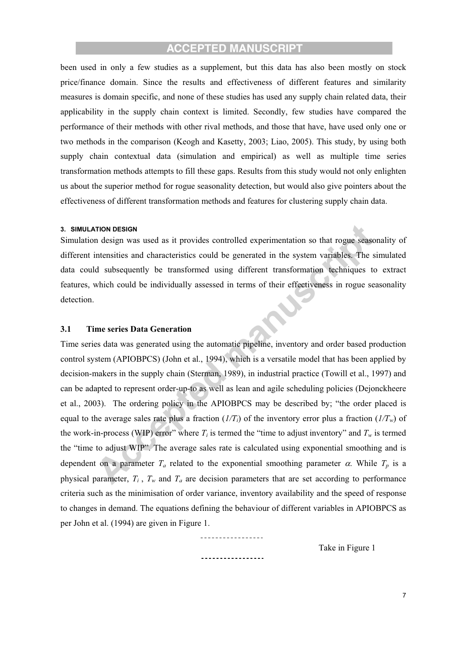been used in only a few studies as a supplement, but this data has also been mostly on stock price/finance domain. Since the results and effectiveness of different features and similarity measures is domain specific, and none of these studies has used any supply chain related data, their applicability in the supply chain context is limited. Secondly, few studies have compared the performance of their methods with other rival methods, and those that have, have used only one or two methods in the comparison (Keogh and Kasetty, 2003; Liao, 2005). This study, by using both supply chain contextual data (simulation and empirical) as well as multiple time series transformation methods attempts to fill these gaps. Results from this study would not only enlighten us about the superior method for rogue seasonality detection, but would also give pointers about the effectiveness of different transformation methods and features for clustering supply chain data.

#### **3. SIMULATION DESIGN**

Simulation design was used as it provides controlled experimentation so that rogue seasonality of different intensities and characteristics could be generated in the system variables. The simulated data could subsequently be transformed using different transformation techniques to extract features, which could be individually assessed in terms of their effectiveness in rogue seasonality detection.

#### **3.1 Time series Data Generation**

Time series data was generated using the automatic pipeline, inventory and order based production control system (APIOBPCS) (John et al., 1994), which is a versatile model that has been applied by decision-makers in the supply chain (Sterman, 1989), in industrial practice (Towill et al., 1997) and can be adapted to represent order-up-to as well as lean and agile scheduling policies (Dejonckheere et al., 2003). The ordering policy in the APIOBPCS may be described by; "the order placed is equal to the average sales rate plus a fraction  $(1/T_i)$  of the inventory error plus a fraction  $(1/T_w)$  of the work-in-process (WIP) error" where  $T_i$  is termed the "time to adjust inventory" and  $T_w$  is termed the "time to adjust WIP". The average sales rate is calculated using exponential smoothing and is dependent on a parameter  $T_a$  related to the exponential smoothing parameter  $\alpha$ . While  $T_p$  is a physical parameter,  $T_i$ ,  $T_w$  and  $T_a$  are decision parameters that are set according to performance criteria such as the minimisation of order variance, inventory availability and the speed of response to changes in demand. The equations defining the behaviour of different variables in APIOBPCS as per John et al. (1994) are given in Figure 1.

> -----------------

Take in Figure 1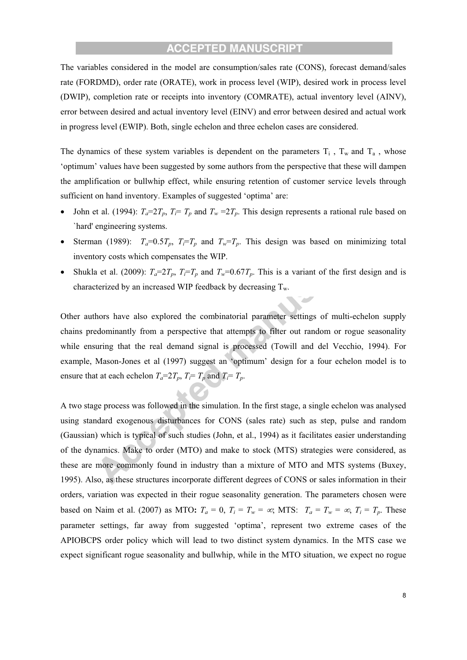The variables considered in the model are consumption/sales rate (CONS), forecast demand/sales rate (FORDMD), order rate (ORATE), work in process level (WIP), desired work in process level (DWIP), completion rate or receipts into inventory (COMRATE), actual inventory level (AINV), error between desired and actual inventory level (EINV) and error between desired and actual work in progress level (EWIP). Both, single echelon and three echelon cases are considered.

The dynamics of these system variables is dependent on the parameters  $T_i$ ,  $T_w$  and  $T_a$ , whose 'optimum' values have been suggested by some authors from the perspective that these will dampen the amplification or bullwhip effect, while ensuring retention of customer service levels through sufficient on hand inventory. Examples of suggested 'optima' are:

- John et al. (1994):  $T_a=2T_p$ ,  $T_f=T_p$  and  $T_w=2T_p$ . This design represents a rational rule based on `hard' engineering systems.
- Sterman (1989):  $T_a=0.5T_p$ ,  $T_i=T_p$  and  $T_w=T_p$ . This design was based on minimizing total inventory costs which compensates the WIP.
- Shukla et al. (2009):  $T_a=2T_p$ ,  $T_i=T_p$  and  $T_w=0.67T_p$ . This is a variant of the first design and is characterized by an increased WIP feedback by decreasing  $T_w$ .

Other authors have also explored the combinatorial parameter settings of multi-echelon supply chains predominantly from a perspective that attempts to filter out random or rogue seasonality while ensuring that the real demand signal is processed (Towill and del Vecchio, 1994). For example, Mason-Jones et al (1997) suggest an 'optimum' design for a four echelon model is to ensure that at each echelon  $T_a=2T_p$ ,  $T_i=T_p$  and  $T_i=T_p$ .

A two stage process was followed in the simulation. In the first stage, a single echelon was analysed using standard exogenous disturbances for CONS (sales rate) such as step, pulse and random (Gaussian) which is typical of such studies (John, et al., 1994) as it facilitates easier understanding of the dynamics. Make to order (MTO) and make to stock (MTS) strategies were considered, as these are more commonly found in industry than a mixture of MTO and MTS systems (Buxey, 1995). Also, as these structures incorporate different degrees of CONS or sales information in their orders, variation was expected in their rogue seasonality generation. The parameters chosen were based on Naim et al. (2007) as MTO:  $T_a = 0$ ,  $T_i = T_w = \infty$ , MTS:  $T_a = T_w = \infty$ ,  $T_i = T_p$ . These parameter settings, far away from suggested 'optima', represent two extreme cases of the APIOBCPS order policy which will lead to two distinct system dynamics. In the MTS case we expect significant rogue seasonality and bullwhip, while in the MTO situation, we expect no rogue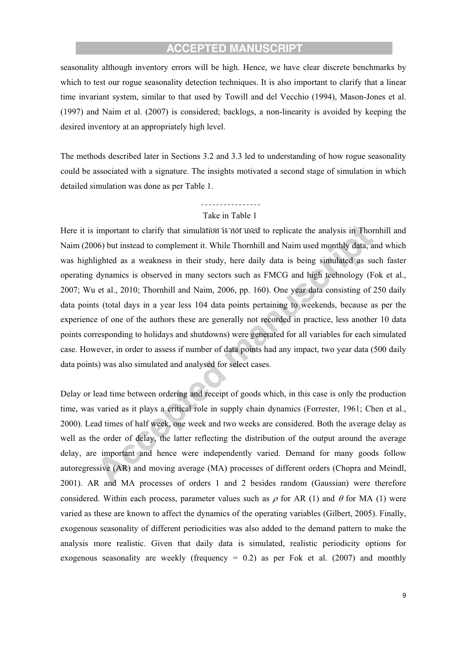seasonality although inventory errors will be high. Hence, we have clear discrete benchmarks by which to test our rogue seasonality detection techniques. It is also important to clarify that a linear time invariant system, similar to that used by Towill and del Vecchio (1994), Mason-Jones et al. (1997) and Naim et al. (2007) is considered; backlogs, a non-linearity is avoided by keeping the desired inventory at an appropriately high level.

The methods described later in Sections 3.2 and 3.3 led to understanding of how rogue seasonality could be associated with a signature. The insights motivated a second stage of simulation in which detailed simulation was done as per Table 1.

#### Take in Table 1

Here it is important to clarify that simulation is not used to replicate the analysis in Thornhill and Naim (2006) but instead to complement it. While Thornhill and Naim used monthly data, and which was highlighted as a weakness in their study, here daily data is being simulated as such faster operating dynamics is observed in many sectors such as FMCG and high technology (Fok et al., 2007; Wu et al., 2010; Thornhill and Naim, 2006, pp. 160). One year data consisting of 250 daily data points (total days in a year less 104 data points pertaining to weekends, because as per the experience of one of the authors these are generally not recorded in practice, less another 10 data points corresponding to holidays and shutdowns) were generated for all variables for each simulated case. However, in order to assess if number of data points had any impact, two year data (500 daily data points) was also simulated and analysed for select cases.

Delay or lead time between ordering and receipt of goods which, in this case is only the production time, was varied as it plays a critical role in supply chain dynamics (Forrester, 1961; Chen et al., 2000). Lead times of half week, one week and two weeks are considered. Both the average delay as well as the order of delay, the latter reflecting the distribution of the output around the average delay, are important and hence were independently varied. Demand for many goods follow autoregressive (AR) and moving average (MA) processes of different orders (Chopra and Meindl, 2001). AR and MA processes of orders 1 and 2 besides random (Gaussian) were therefore considered. Within each process, parameter values such as  $\rho$  for AR (1) and  $\theta$  for MA (1) were varied as these are known to affect the dynamics of the operating variables (Gilbert, 2005). Finally, exogenous seasonality of different periodicities was also added to the demand pattern to make the analysis more realistic. Given that daily data is simulated, realistic periodicity options for exogenous seasonality are weekly (frequency  $= 0.2$ ) as per Fok et al. (2007) and monthly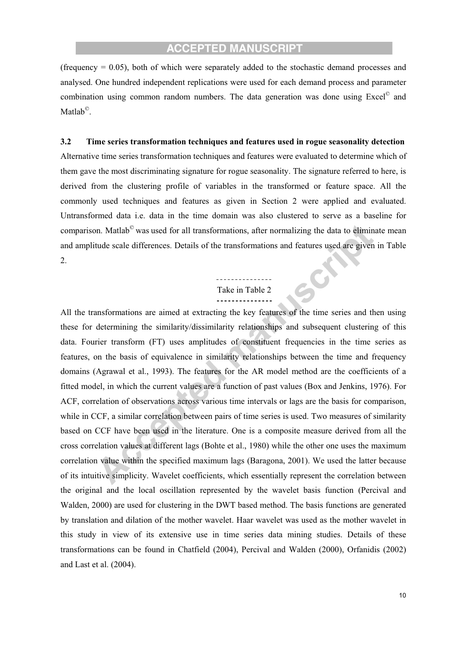(frequency  $= 0.05$ ), both of which were separately added to the stochastic demand processes and analysed. One hundred independent replications were used for each demand process and parameter combination using common random numbers. The data generation was done using Excel© and Matlab<sup>©</sup>.

#### **3.2 Time series transformation techniques and features used in rogue seasonality detection**

Alternative time series transformation techniques and features were evaluated to determine which of them gave the most discriminating signature for rogue seasonality. The signature referred to here, is derived from the clustering profile of variables in the transformed or feature space. All the commonly used techniques and features as given in Section 2 were applied and evaluated. Untransformed data i.e. data in the time domain was also clustered to serve as a baseline for comparison. Matlab© was used for all transformations, after normalizing the data to eliminate mean and amplitude scale differences. Details of the transformations and features used are given in Table 2.

#### Take in Table 2

All the transformations are aimed at extracting the key features of the time series and then using these for determining the similarity/dissimilarity relationships and subsequent clustering of this data. Fourier transform (FT) uses amplitudes of constituent frequencies in the time series as features, on the basis of equivalence in similarity relationships between the time and frequency domains (Agrawal et al., 1993). The features for the AR model method are the coefficients of a fitted model, in which the current values are a function of past values (Box and Jenkins, 1976). For ACF, correlation of observations across various time intervals or lags are the basis for comparison, while in CCF, a similar correlation between pairs of time series is used. Two measures of similarity based on CCF have been used in the literature. One is a composite measure derived from all the cross correlation values at different lags (Bohte et al., 1980) while the other one uses the maximum correlation value within the specified maximum lags (Baragona, 2001). We used the latter because of its intuitive simplicity. Wavelet coefficients, which essentially represent the correlation between the original and the local oscillation represented by the wavelet basis function (Percival and Walden, 2000) are used for clustering in the DWT based method. The basis functions are generated by translation and dilation of the mother wavelet. Haar wavelet was used as the mother wavelet in this study in view of its extensive use in time series data mining studies. Details of these transformations can be found in Chatfield (2004), Percival and Walden (2000), Orfanidis (2002) and Last et al. (2004).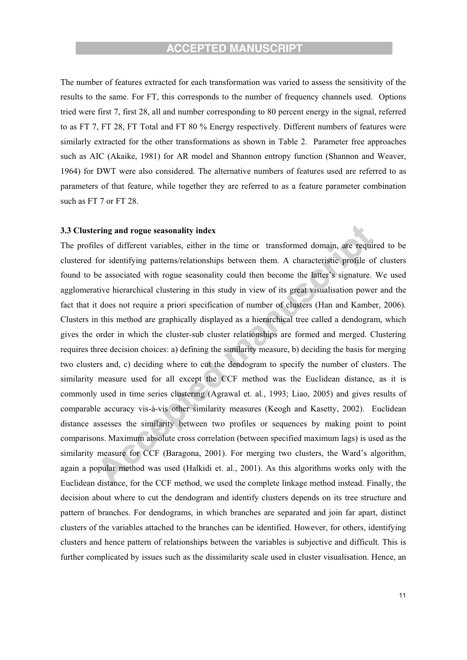The number of features extracted for each transformation was varied to assess the sensitivity of the results to the same. For FT, this corresponds to the number of frequency channels used. Options tried were first 7, first 28, all and number corresponding to 80 percent energy in the signal, referred to as FT 7, FT 28, FT Total and FT 80 % Energy respectively. Different numbers of features were similarly extracted for the other transformations as shown in Table 2. Parameter free approaches such as AIC (Akaike, 1981) for AR model and Shannon entropy function (Shannon and Weaver, 1964) for DWT were also considered. The alternative numbers of features used are referred to as parameters of that feature, while together they are referred to as a feature parameter combination such as FT 7 or FT 28.

#### **3.3 Clustering and rogue seasonality index**

The profiles of different variables, either in the time or transformed domain, are required to be clustered for identifying patterns/relationships between them. A characteristic profile of clusters found to be associated with rogue seasonality could then become the latter's signature. We used agglomerative hierarchical clustering in this study in view of its great visualisation power and the fact that it does not require a priori specification of number of clusters (Han and Kamber, 2006). Clusters in this method are graphically displayed as a hierarchical tree called a dendogram, which gives the order in which the cluster-sub cluster relationships are formed and merged. Clustering requires three decision choices: a) defining the similarity measure, b) deciding the basis for merging two clusters and, c) deciding where to cut the dendogram to specify the number of clusters. The similarity measure used for all except the CCF method was the Euclidean distance, as it is commonly used in time series clustering (Agrawal et. al., 1993; Liao, 2005) and gives results of comparable accuracy vis-à-vis other similarity measures (Keogh and Kasetty, 2002). Euclidean distance assesses the similarity between two profiles or sequences by making point to point comparisons. Maximum absolute cross correlation (between specified maximum lags) is used as the similarity measure for CCF (Baragona, 2001). For merging two clusters, the Ward's algorithm, again a popular method was used (Halkidi et. al., 2001). As this algorithms works only with the Euclidean distance, for the CCF method, we used the complete linkage method instead. Finally, the decision about where to cut the dendogram and identify clusters depends on its tree structure and pattern of branches. For dendograms, in which branches are separated and join far apart, distinct clusters of the variables attached to the branches can be identified. However, for others, identifying clusters and hence pattern of relationships between the variables is subjective and difficult. This is further complicated by issues such as the dissimilarity scale used in cluster visualisation. Hence, an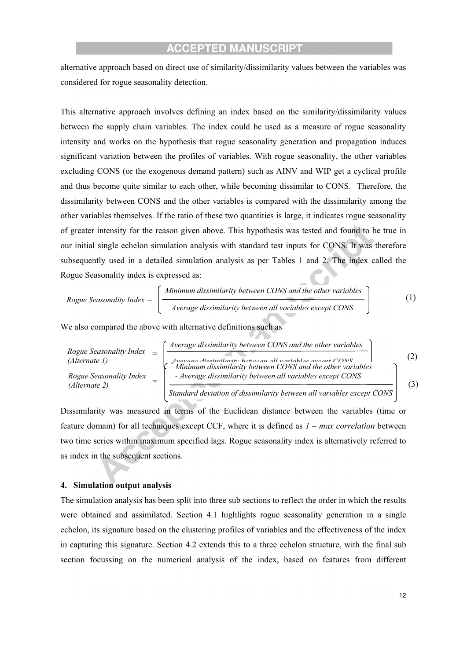alternative approach based on direct use of similarity/dissimilarity values between the variables was considered for rogue seasonality detection.

This alternative approach involves defining an index based on the similarity/dissimilarity values between the supply chain variables. The index could be used as a measure of rogue seasonality intensity and works on the hypothesis that rogue seasonality generation and propagation induces significant variation between the profiles of variables. With rogue seasonality, the other variables excluding CONS (or the exogenous demand pattern) such as AINV and WIP get a cyclical profile and thus become quite similar to each other, while becoming dissimilar to CONS. Therefore, the dissimilarity between CONS and the other variables is compared with the dissimilarity among the other variables themselves. If the ratio of these two quantities is large, it indicates rogue seasonality of greater intensity for the reason given above. This hypothesis was tested and found to be true in our initial single echelon simulation analysis with standard test inputs for CONS. It was therefore subsequently used in a detailed simulation analysis as per Tables 1 and 2. The index called the Rogue Seasonality index is expressed as:

Regue Seasonality Index =

\n
$$
\left[\frac{\text{Minimum dissimilarity between CONS and the other variables}}{\text{Average dissimilarity between all variables except CONS}}\right]
$$
\n(1)

We also compared the above with alternative definitions such as

| Rogue Seasonality Index | =                                                                     | \n $\frac{Average dissimilarity between CONS and the other variables}{A^{\text{trivial}}\text{minim University between CONS and the other variables}}$ \n | (2) |
|-------------------------|-----------------------------------------------------------------------|-----------------------------------------------------------------------------------------------------------------------------------------------------------|-----|
| Rogue Seasonality Index | - Average dissimilarity between all variables except CONS             | (3)                                                                                                                                                       |     |
| (Alternate 2)           | Standard deviation of dissimilarity between all variables except CONS | (3)                                                                                                                                                       |     |

Dissimilarity was measured in terms of the Euclidean distance between the variables (time or feature domain) for all techniques except CCF, where it is defined as *1 – max correlation* between two time series within maximum specified lags. Rogue seasonality index is alternatively referred to as index in the subsequent sections.

#### **4. Simulation output analysis**

The simulation analysis has been split into three sub sections to reflect the order in which the results were obtained and assimilated. Section 4.1 highlights rogue seasonality generation in a single echelon, its signature based on the clustering profiles of variables and the effectiveness of the index in capturing this signature. Section 4.2 extends this to a three echelon structure, with the final sub section focussing on the numerical analysis of the index, based on features from different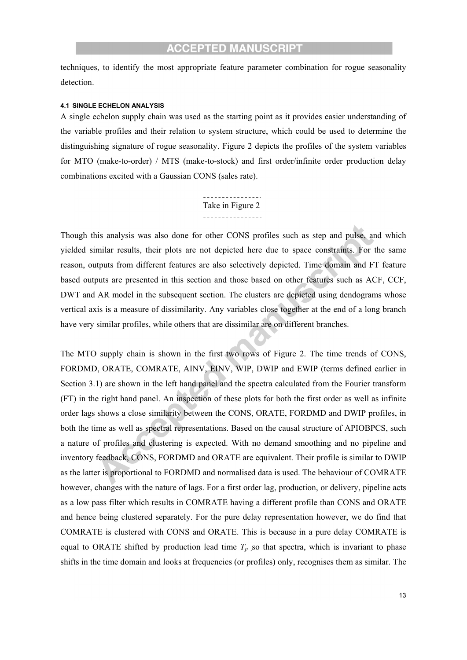techniques, to identify the most appropriate feature parameter combination for rogue seasonality detection.

#### **4.1 SINGLE ECHELON ANALYSIS**

A single echelon supply chain was used as the starting point as it provides easier understanding of the variable profiles and their relation to system structure, which could be used to determine the distinguishing signature of rogue seasonality. Figure 2 depicts the profiles of the system variables for MTO (make-to-order) / MTS (make-to-stock) and first order/infinite order production delay combinations excited with a Gaussian CONS (sales rate).

> Take in Figure 2 . . . . . . . . . . . . . . . .

Though this analysis was also done for other CONS profiles such as step and pulse, and which yielded similar results, their plots are not depicted here due to space constraints. For the same reason, outputs from different features are also selectively depicted. Time domain and FT feature based outputs are presented in this section and those based on other features such as ACF, CCF, DWT and AR model in the subsequent section. The clusters are depicted using dendograms whose vertical axis is a measure of dissimilarity. Any variables close together at the end of a long branch have very similar profiles, while others that are dissimilar are on different branches.

The MTO supply chain is shown in the first two rows of Figure 2. The time trends of CONS, FORDMD, ORATE, COMRATE, AINV, EINV, WIP, DWIP and EWIP (terms defined earlier in Section 3.1) are shown in the left hand panel and the spectra calculated from the Fourier transform (FT) in the right hand panel. An inspection of these plots for both the first order as well as infinite order lags shows a close similarity between the CONS, ORATE, FORDMD and DWIP profiles, in both the time as well as spectral representations. Based on the causal structure of APIOBPCS, such a nature of profiles and clustering is expected. With no demand smoothing and no pipeline and inventory feedback, CONS, FORDMD and ORATE are equivalent. Their profile is similar to DWIP as the latter is proportional to FORDMD and normalised data is used. The behaviour of COMRATE however, changes with the nature of lags. For a first order lag, production, or delivery, pipeline acts as a low pass filter which results in COMRATE having a different profile than CONS and ORATE and hence being clustered separately. For the pure delay representation however, we do find that COMRATE is clustered with CONS and ORATE. This is because in a pure delay COMRATE is equal to ORATE shifted by production lead time  $T_p$  so that spectra, which is invariant to phase shifts in the time domain and looks at frequencies (or profiles) only, recognises them as similar. The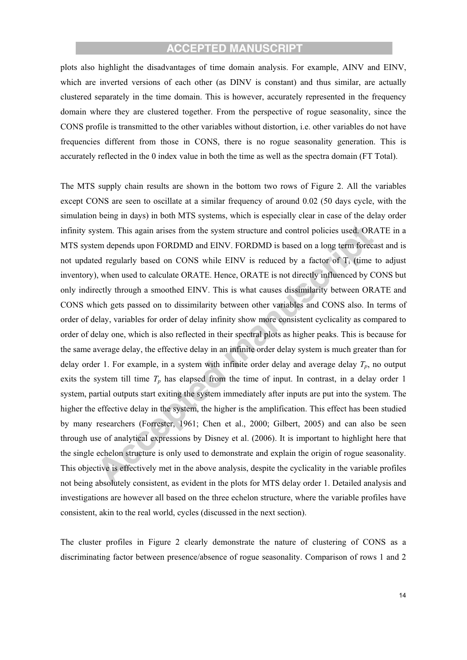plots also highlight the disadvantages of time domain analysis. For example, AINV and EINV, which are inverted versions of each other (as DINV is constant) and thus similar, are actually clustered separately in the time domain. This is however, accurately represented in the frequency domain where they are clustered together. From the perspective of rogue seasonality, since the CONS profile is transmitted to the other variables without distortion, i.e. other variables do not have frequencies different from those in CONS, there is no rogue seasonality generation. This is accurately reflected in the 0 index value in both the time as well as the spectra domain (FT Total).

The MTS supply chain results are shown in the bottom two rows of Figure 2. All the variables except CONS are seen to oscillate at a similar frequency of around 0.02 (50 days cycle, with the simulation being in days) in both MTS systems, which is especially clear in case of the delay order infinity system. This again arises from the system structure and control policies used. ORATE in a MTS system depends upon FORDMD and EINV. FORDMD is based on a long term forecast and is not updated regularly based on CONS while EINV is reduced by a factor of  $T_i$  (time to adjust inventory), when used to calculate ORATE. Hence, ORATE is not directly influenced by CONS but only indirectly through a smoothed EINV. This is what causes dissimilarity between ORATE and CONS which gets passed on to dissimilarity between other variables and CONS also. In terms of order of delay, variables for order of delay infinity show more consistent cyclicality as compared to order of delay one, which is also reflected in their spectral plots as higher peaks. This is because for the same average delay, the effective delay in an infinite order delay system is much greater than for delay order 1. For example, in a system with infinite order delay and average delay  $T_p$ , no output exits the system till time  $T_p$  has elapsed from the time of input. In contrast, in a delay order 1 system, partial outputs start exiting the system immediately after inputs are put into the system. The higher the effective delay in the system, the higher is the amplification. This effect has been studied by many researchers (Forrester, 1961; Chen et al., 2000; Gilbert, 2005) and can also be seen through use of analytical expressions by Disney et al. (2006). It is important to highlight here that the single echelon structure is only used to demonstrate and explain the origin of rogue seasonality. This objective is effectively met in the above analysis, despite the cyclicality in the variable profiles not being absolutely consistent, as evident in the plots for MTS delay order 1. Detailed analysis and investigations are however all based on the three echelon structure, where the variable profiles have consistent, akin to the real world, cycles (discussed in the next section).

The cluster profiles in Figure 2 clearly demonstrate the nature of clustering of CONS as a discriminating factor between presence/absence of rogue seasonality. Comparison of rows 1 and 2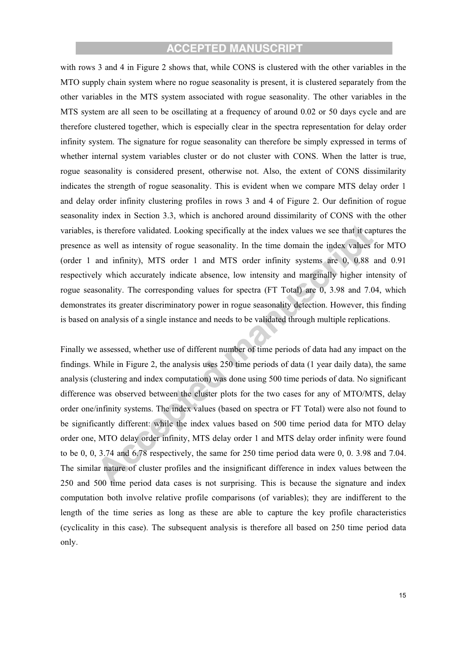with rows 3 and 4 in Figure 2 shows that, while CONS is clustered with the other variables in the MTO supply chain system where no rogue seasonality is present, it is clustered separately from the other variables in the MTS system associated with rogue seasonality. The other variables in the MTS system are all seen to be oscillating at a frequency of around 0.02 or 50 days cycle and are therefore clustered together, which is especially clear in the spectra representation for delay order infinity system. The signature for rogue seasonality can therefore be simply expressed in terms of whether internal system variables cluster or do not cluster with CONS. When the latter is true, rogue seasonality is considered present, otherwise not. Also, the extent of CONS dissimilarity indicates the strength of rogue seasonality. This is evident when we compare MTS delay order 1 and delay order infinity clustering profiles in rows 3 and 4 of Figure 2. Our definition of rogue seasonality index in Section 3.3, which is anchored around dissimilarity of CONS with the other variables, is therefore validated. Looking specifically at the index values we see that it captures the presence as well as intensity of rogue seasonality. In the time domain the index values for MTO (order 1 and infinity), MTS order 1 and MTS order infinity systems are 0, 0.88 and 0.91 respectively which accurately indicate absence, low intensity and marginally higher intensity of rogue seasonality. The corresponding values for spectra (FT Total) are 0, 3.98 and 7.04, which demonstrates its greater discriminatory power in rogue seasonality detection. However, this finding is based on analysis of a single instance and needs to be validated through multiple replications.

Finally we assessed, whether use of different number of time periods of data had any impact on the findings. While in Figure 2, the analysis uses 250 time periods of data (1 year daily data), the same analysis (clustering and index computation) was done using 500 time periods of data. No significant difference was observed between the cluster plots for the two cases for any of MTO/MTS, delay order one/infinity systems. The index values (based on spectra or FT Total) were also not found to be significantly different: while the index values based on 500 time period data for MTO delay order one, MTO delay order infinity, MTS delay order 1 and MTS delay order infinity were found to be 0, 0, 3.74 and 6.78 respectively, the same for 250 time period data were 0, 0. 3.98 and 7.04. The similar nature of cluster profiles and the insignificant difference in index values between the 250 and 500 time period data cases is not surprising. This is because the signature and index computation both involve relative profile comparisons (of variables); they are indifferent to the length of the time series as long as these are able to capture the key profile characteristics (cyclicality in this case). The subsequent analysis is therefore all based on 250 time period data only.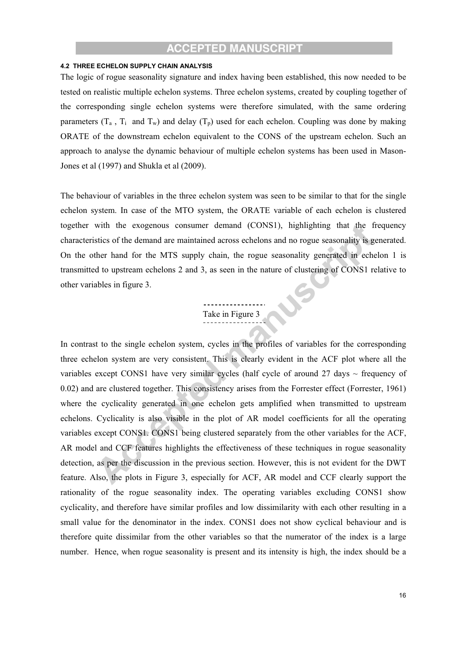#### **4.2 THREE ECHELON SUPPLY CHAIN ANALYSIS**

The logic of rogue seasonality signature and index having been established, this now needed to be tested on realistic multiple echelon systems. Three echelon systems, created by coupling together of the corresponding single echelon systems were therefore simulated, with the same ordering parameters  $(T_a, T_i$  and  $T_w$ ) and delay  $(T_p)$  used for each echelon. Coupling was done by making ORATE of the downstream echelon equivalent to the CONS of the upstream echelon. Such an approach to analyse the dynamic behaviour of multiple echelon systems has been used in Mason-Jones et al (1997) and Shukla et al (2009).

The behaviour of variables in the three echelon system was seen to be similar to that for the single echelon system. In case of the MTO system, the ORATE variable of each echelon is clustered together with the exogenous consumer demand (CONS1), highlighting that the frequency characteristics of the demand are maintained across echelons and no rogue seasonality is generated. On the other hand for the MTS supply chain, the rogue seasonality generated in echelon 1 is transmitted to upstream echelons 2 and 3, as seen in the nature of clustering of CONS1 relative to other variables in figure 3.

# Take in Figure 3

In contrast to the single echelon system, cycles in the profiles of variables for the corresponding three echelon system are very consistent. This is clearly evident in the ACF plot where all the variables except CONS1 have very similar cycles (half cycle of around 27 days  $\sim$  frequency of 0.02) and are clustered together. This consistency arises from the Forrester effect (Forrester, 1961) where the cyclicality generated in one echelon gets amplified when transmitted to upstream echelons. Cyclicality is also visible in the plot of AR model coefficients for all the operating variables except CONS1. CONS1 being clustered separately from the other variables for the ACF, AR model and CCF features highlights the effectiveness of these techniques in rogue seasonality detection, as per the discussion in the previous section. However, this is not evident for the DWT feature. Also, the plots in Figure 3, especially for ACF, AR model and CCF clearly support the rationality of the rogue seasonality index. The operating variables excluding CONS1 show cyclicality, and therefore have similar profiles and low dissimilarity with each other resulting in a small value for the denominator in the index. CONS1 does not show cyclical behaviour and is therefore quite dissimilar from the other variables so that the numerator of the index is a large number. Hence, when rogue seasonality is present and its intensity is high, the index should be a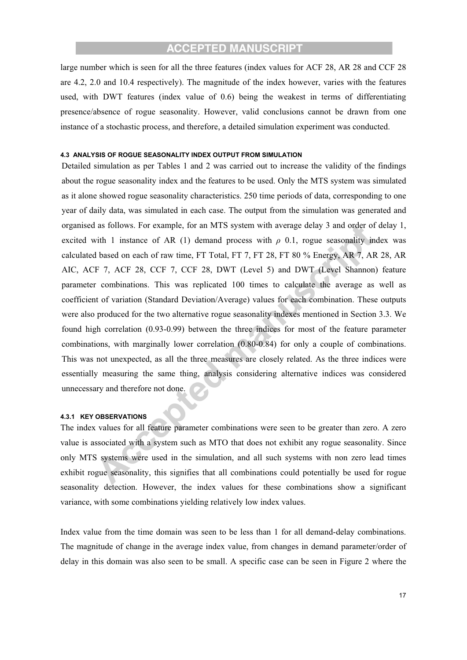large number which is seen for all the three features (index values for ACF 28, AR 28 and CCF 28 are 4.2, 2.0 and 10.4 respectively). The magnitude of the index however, varies with the features used, with DWT features (index value of 0.6) being the weakest in terms of differentiating presence/absence of rogue seasonality. However, valid conclusions cannot be drawn from one instance of a stochastic process, and therefore, a detailed simulation experiment was conducted.

#### **4.3 ANALYSIS OF ROGUE SEASONALITY INDEX OUTPUT FROM SIMULATION**

Detailed simulation as per Tables 1 and 2 was carried out to increase the validity of the findings about the rogue seasonality index and the features to be used. Only the MTS system was simulated as it alone showed rogue seasonality characteristics. 250 time periods of data, corresponding to one year of daily data, was simulated in each case. The output from the simulation was generated and organised as follows. For example, for an MTS system with average delay 3 and order of delay 1, excited with 1 instance of AR (1) demand process with  $\rho$  0.1, rogue seasonality index was calculated based on each of raw time, FT Total, FT 7, FT 28, FT 80 % Energy, AR 7, AR 28, AR AIC, ACF 7, ACF 28, CCF 7, CCF 28, DWT (Level 5) and DWT (Level Shannon) feature parameter combinations. This was replicated 100 times to calculate the average as well as coefficient of variation (Standard Deviation/Average) values for each combination. These outputs were also produced for the two alternative rogue seasonality indexes mentioned in Section 3.3. We found high correlation (0.93-0.99) between the three indices for most of the feature parameter combinations, with marginally lower correlation (0.80-0.84) for only a couple of combinations. This was not unexpected, as all the three measures are closely related. As the three indices were essentially measuring the same thing, analysis considering alternative indices was considered unnecessary and therefore not done.

#### **4.3.1 KEY OBSERVATIONS**

The index values for all feature parameter combinations were seen to be greater than zero. A zero value is associated with a system such as MTO that does not exhibit any rogue seasonality. Since only MTS systems were used in the simulation, and all such systems with non zero lead times exhibit rogue seasonality, this signifies that all combinations could potentially be used for rogue seasonality detection. However, the index values for these combinations show a significant variance, with some combinations yielding relatively low index values.

Index value from the time domain was seen to be less than 1 for all demand-delay combinations. The magnitude of change in the average index value, from changes in demand parameter/order of delay in this domain was also seen to be small. A specific case can be seen in Figure 2 where the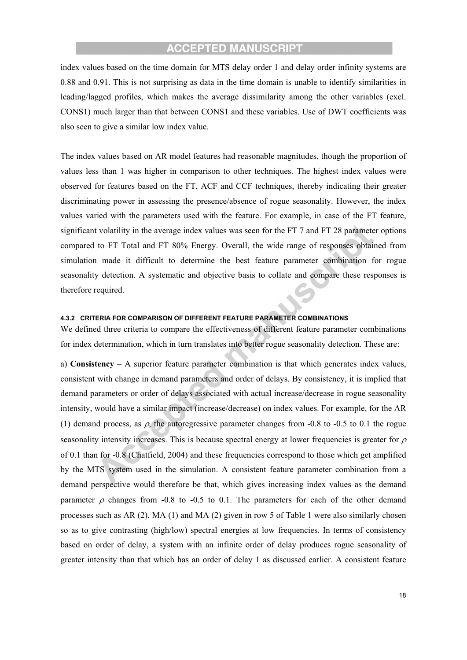index values based on the time domain for MTS delay order 1 and delay order infinity systems are 0.88 and 0.91. This is not surprising as data in the time domain is unable to identify similarities in leading/lagged profiles, which makes the average dissimilarity among the other variables (excl. CONS1) much larger than that between CONS1 and these variables. Use of DWT coefficients was also seen to give a similar low index value.

The index values based on AR model features had reasonable magnitudes, though the proportion of values less than 1 was higher in comparison to other techniques. The highest index values were observed for features based on the FT, ACF and CCF techniques, thereby indicating their greater discriminating power in assessing the presence/absence of rogue seasonality. However, the index values varied with the parameters used with the feature. For example, in case of the FT feature, significant volatility in the average index values was seen for the FT 7 and FT 28 parameter options compared to FT Total and FT 80% Energy. Overall, the wide range of responses obtained from simulation made it difficult to determine the best feature parameter combination for rogue seasonality detection. A systematic and objective basis to collate and compare these responses is therefore required.

#### **4.3.2 CRITERIA FOR COMPARISON OF DIFFERENT FEATURE PARAMETER COMBINATIONS**

We defined three criteria to compare the effectiveness of different feature parameter combinations for index determination, which in turn translates into better rogue seasonality detection. These are:

a) **Consistency** – A superior feature parameter combination is that which generates index values, consistent with change in demand parameters and order of delays. By consistency, it is implied that demand parameters or order of delays associated with actual increase/decrease in rogue seasonality intensity, would have a similar impact (increase/decrease) on index values. For example, for the AR (1) demand process, as  $\rho$ , the autoregressive parameter changes from -0.8 to -0.5 to 0.1 the rogue seasonality intensity increases. This is because spectral energy at lower frequencies is greater for  $\rho$ of 0.1 than for -0.8 (Chatfield, 2004) and these frequencies correspond to those which get amplified by the MTS system used in the simulation. A consistent feature parameter combination from a demand perspective would therefore be that, which gives increasing index values as the demand parameter  $\rho$  changes from -0.8 to -0.5 to 0.1. The parameters for each of the other demand processes such as AR (2), MA (1) and MA (2) given in row 5 of Table 1 were also similarly chosen so as to give contrasting (high/low) spectral energies at low frequencies. In terms of consistency based on order of delay, a system with an infinite order of delay produces rogue seasonality of greater intensity than that which has an order of delay 1 as discussed earlier. A consistent feature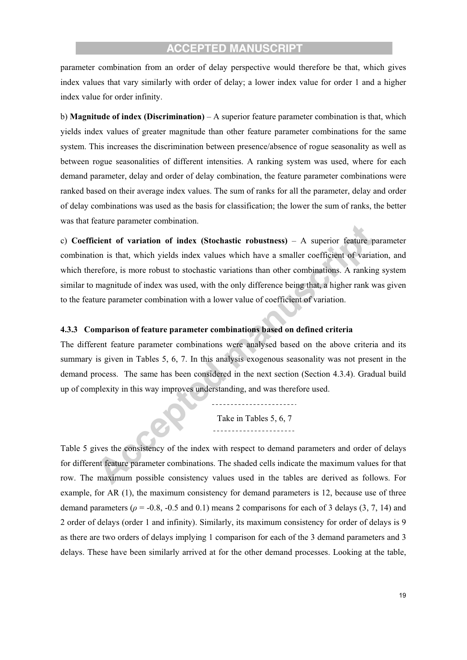parameter combination from an order of delay perspective would therefore be that, which gives index values that vary similarly with order of delay; a lower index value for order 1 and a higher index value for order infinity.

b) **Magnitude of index (Discrimination)** – A superior feature parameter combination is that, which yields index values of greater magnitude than other feature parameter combinations for the same system. This increases the discrimination between presence/absence of rogue seasonality as well as between rogue seasonalities of different intensities. A ranking system was used, where for each demand parameter, delay and order of delay combination, the feature parameter combinations were ranked based on their average index values. The sum of ranks for all the parameter, delay and order of delay combinations was used as the basis for classification; the lower the sum of ranks, the better was that feature parameter combination.

c) **Coefficient of variation of index (Stochastic robustness)** – A superior feature parameter combination is that, which yields index values which have a smaller coefficient of variation, and which therefore, is more robust to stochastic variations than other combinations. A ranking system similar to magnitude of index was used, with the only difference being that, a higher rank was given to the feature parameter combination with a lower value of coefficient of variation.

#### **4.3.3 Comparison of feature parameter combinations based on defined criteria**

The different feature parameter combinations were analysed based on the above criteria and its summary is given in Tables 5, 6, 7. In this analysis exogenous seasonality was not present in the demand process. The same has been considered in the next section (Section 4.3.4). Gradual build up of complexity in this way improves understanding, and was therefore used.

> Take in Tables 5, 6, 7 ----------------------

Table 5 gives the consistency of the index with respect to demand parameters and order of delays for different feature parameter combinations. The shaded cells indicate the maximum values for that row. The maximum possible consistency values used in the tables are derived as follows. For example, for AR (1), the maximum consistency for demand parameters is 12, because use of three demand parameters ( $\rho = -0.8$ ,  $-0.5$  and  $0.1$ ) means 2 comparisons for each of 3 delays (3, 7, 14) and 2 order of delays (order 1 and infinity). Similarly, its maximum consistency for order of delays is 9 as there are two orders of delays implying 1 comparison for each of the 3 demand parameters and 3 delays. These have been similarly arrived at for the other demand processes. Looking at the table,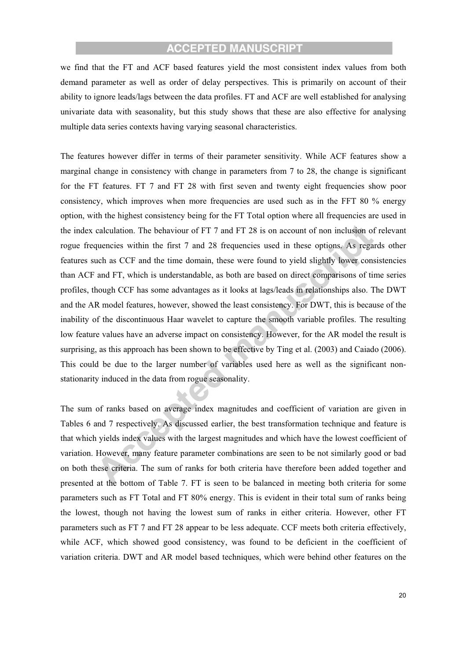we find that the FT and ACF based features yield the most consistent index values from both demand parameter as well as order of delay perspectives. This is primarily on account of their ability to ignore leads/lags between the data profiles. FT and ACF are well established for analysing univariate data with seasonality, but this study shows that these are also effective for analysing multiple data series contexts having varying seasonal characteristics.

The features however differ in terms of their parameter sensitivity. While ACF features show a marginal change in consistency with change in parameters from 7 to 28, the change is significant for the FT features. FT 7 and FT 28 with first seven and twenty eight frequencies show poor consistency, which improves when more frequencies are used such as in the FFT 80 % energy option, with the highest consistency being for the FT Total option where all frequencies are used in the index calculation. The behaviour of FT 7 and FT 28 is on account of non inclusion of relevant rogue frequencies within the first 7 and 28 frequencies used in these options. As regards other features such as CCF and the time domain, these were found to yield slightly lower consistencies than ACF and FT, which is understandable, as both are based on direct comparisons of time series profiles, though CCF has some advantages as it looks at lags/leads in relationships also. The DWT and the AR model features, however, showed the least consistency. For DWT, this is because of the inability of the discontinuous Haar wavelet to capture the smooth variable profiles. The resulting low feature values have an adverse impact on consistency. However, for the AR model the result is surprising, as this approach has been shown to be effective by Ting et al. (2003) and Caiado (2006). This could be due to the larger number of variables used here as well as the significant nonstationarity induced in the data from rogue seasonality.

The sum of ranks based on average index magnitudes and coefficient of variation are given in Tables 6 and 7 respectively. As discussed earlier, the best transformation technique and feature is that which yields index values with the largest magnitudes and which have the lowest coefficient of variation. However, many feature parameter combinations are seen to be not similarly good or bad on both these criteria. The sum of ranks for both criteria have therefore been added together and presented at the bottom of Table 7. FT is seen to be balanced in meeting both criteria for some parameters such as FT Total and FT 80% energy. This is evident in their total sum of ranks being the lowest, though not having the lowest sum of ranks in either criteria. However, other FT parameters such as FT 7 and FT 28 appear to be less adequate. CCF meets both criteria effectively, while ACF, which showed good consistency, was found to be deficient in the coefficient of variation criteria. DWT and AR model based techniques, which were behind other features on the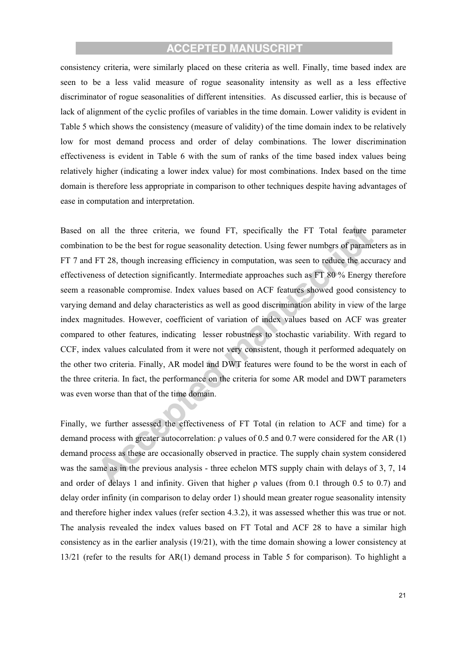consistency criteria, were similarly placed on these criteria as well. Finally, time based index are seen to be a less valid measure of rogue seasonality intensity as well as a less effective discriminator of rogue seasonalities of different intensities. As discussed earlier, this is because of lack of alignment of the cyclic profiles of variables in the time domain. Lower validity is evident in Table 5 which shows the consistency (measure of validity) of the time domain index to be relatively low for most demand process and order of delay combinations. The lower discrimination effectiveness is evident in Table 6 with the sum of ranks of the time based index values being relatively higher (indicating a lower index value) for most combinations. Index based on the time domain is therefore less appropriate in comparison to other techniques despite having advantages of ease in computation and interpretation.

Based on all the three criteria, we found FT, specifically the FT Total feature parameter combination to be the best for rogue seasonality detection. Using fewer numbers of parameters as in FT 7 and FT 28, though increasing efficiency in computation, was seen to reduce the accuracy and effectiveness of detection significantly. Intermediate approaches such as FT 80 % Energy therefore seem a reasonable compromise. Index values based on ACF features showed good consistency to varying demand and delay characteristics as well as good discrimination ability in view of the large index magnitudes. However, coefficient of variation of index values based on ACF was greater compared to other features, indicating lesser robustness to stochastic variability. With regard to CCF, index values calculated from it were not very consistent, though it performed adequately on the other two criteria. Finally, AR model and DWT features were found to be the worst in each of the three criteria. In fact, the performance on the criteria for some AR model and DWT parameters was even worse than that of the time domain.

Finally, we further assessed the effectiveness of FT Total (in relation to ACF and time) for a demand process with greater autocorrelation:  $\rho$  values of 0.5 and 0.7 were considered for the AR (1) demand process as these are occasionally observed in practice. The supply chain system considered was the same as in the previous analysis - three echelon MTS supply chain with delays of 3, 7, 14 and order of delays 1 and infinity. Given that higher  $\rho$  values (from 0.1 through 0.5 to 0.7) and delay order infinity (in comparison to delay order 1) should mean greater rogue seasonality intensity and therefore higher index values (refer section 4.3.2), it was assessed whether this was true or not. The analysis revealed the index values based on FT Total and ACF 28 to have a similar high consistency as in the earlier analysis (19/21), with the time domain showing a lower consistency at 13/21 (refer to the results for AR(1) demand process in Table 5 for comparison). To highlight a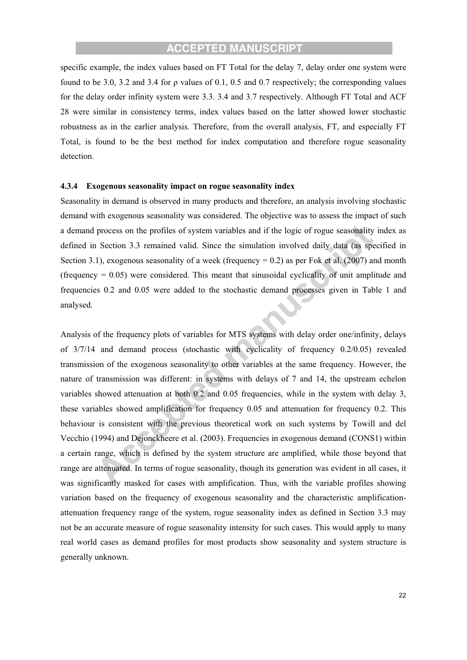specific example, the index values based on FT Total for the delay 7, delay order one system were found to be 3.0, 3.2 and 3.4 for  $\rho$  values of 0.1, 0.5 and 0.7 respectively; the corresponding values for the delay order infinity system were 3.3. 3.4 and 3.7 respectively. Although FT Total and ACF 28 were similar in consistency terms, index values based on the latter showed lower stochastic robustness as in the earlier analysis. Therefore, from the overall analysis, FT, and especially FT Total, is found to be the best method for index computation and therefore rogue seasonality detection.

#### **4.3.4 Exogenous seasonality impact on rogue seasonality index**

Seasonality in demand is observed in many products and therefore, an analysis involving stochastic demand with exogenous seasonality was considered. The objective was to assess the impact of such a demand process on the profiles of system variables and if the logic of rogue seasonality index as defined in Section 3.3 remained valid. Since the simulation involved daily data (as specified in Section 3.1), exogenous seasonality of a week (frequency = 0.2) as per Fok et al. (2007) and month (frequency  $= 0.05$ ) were considered. This meant that sinusoidal cyclicality of unit amplitude and frequencies 0.2 and 0.05 were added to the stochastic demand processes given in Table 1 and analysed.

Analysis of the frequency plots of variables for MTS systems with delay order one/infinity, delays of 3/7/14 and demand process (stochastic with cyclicality of frequency 0.2/0.05) revealed transmission of the exogenous seasonality to other variables at the same frequency. However, the nature of transmission was different: in systems with delays of 7 and 14, the upstream echelon variables showed attenuation at both 0.2 and 0.05 frequencies, while in the system with delay 3, these variables showed amplification for frequency 0.05 and attenuation for frequency 0.2. This behaviour is consistent with the previous theoretical work on such systems by Towill and del Vecchio (1994) and Dejonckheere et al. (2003). Frequencies in exogenous demand (CONS1) within a certain range, which is defined by the system structure are amplified, while those beyond that range are attenuated. In terms of rogue seasonality, though its generation was evident in all cases, it was significantly masked for cases with amplification. Thus, with the variable profiles showing variation based on the frequency of exogenous seasonality and the characteristic amplificationattenuation frequency range of the system, rogue seasonality index as defined in Section 3.3 may not be an accurate measure of rogue seasonality intensity for such cases. This would apply to many real world cases as demand profiles for most products show seasonality and system structure is generally unknown.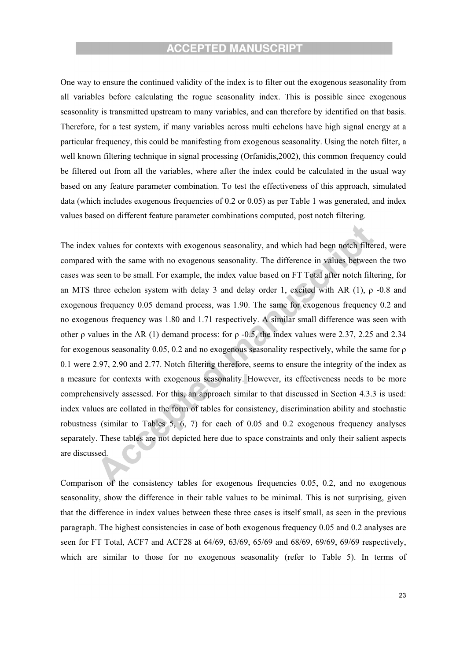One way to ensure the continued validity of the index is to filter out the exogenous seasonality from all variables before calculating the rogue seasonality index. This is possible since exogenous seasonality is transmitted upstream to many variables, and can therefore by identified on that basis. Therefore, for a test system, if many variables across multi echelons have high signal energy at a particular frequency, this could be manifesting from exogenous seasonality. Using the notch filter, a well known filtering technique in signal processing (Orfanidis, 2002), this common frequency could be filtered out from all the variables, where after the index could be calculated in the usual way based on any feature parameter combination. To test the effectiveness of this approach, simulated data (which includes exogenous frequencies of 0.2 or 0.05) as per Table 1 was generated, and index values based on different feature parameter combinations computed, post notch filtering.

The index values for contexts with exogenous seasonality, and which had been notch filtered, were compared with the same with no exogenous seasonality. The difference in values between the two cases was seen to be small. For example, the index value based on FT Total after notch filtering, for an MTS three echelon system with delay 3 and delay order 1, excited with AR  $(1)$ ,  $\rho$  -0.8 and exogenous frequency 0.05 demand process, was 1.90. The same for exogenous frequency 0.2 and no exogenous frequency was 1.80 and 1.71 respectively. A similar small difference was seen with other  $\rho$  values in the AR (1) demand process: for  $\rho$  -0.5, the index values were 2.37, 2.25 and 2.34 for exogenous seasonality 0.05, 0.2 and no exogenous seasonality respectively, while the same for  $\rho$ 0.1 were 2.97, 2.90 and 2.77. Notch filtering therefore, seems to ensure the integrity of the index as a measure for contexts with exogenous seasonality. However, its effectiveness needs to be more comprehensively assessed. For this, an approach similar to that discussed in Section 4.3.3 is used: index values are collated in the form of tables for consistency, discrimination ability and stochastic robustness (similar to Tables 5, 6, 7) for each of 0.05 and 0.2 exogenous frequency analyses separately. These tables are not depicted here due to space constraints and only their salient aspects are discussed.

Comparison of the consistency tables for exogenous frequencies 0.05, 0.2, and no exogenous seasonality, show the difference in their table values to be minimal. This is not surprising, given that the difference in index values between these three cases is itself small, as seen in the previous paragraph. The highest consistencies in case of both exogenous frequency 0.05 and 0.2 analyses are seen for FT Total, ACF7 and ACF28 at 64/69, 63/69, 65/69 and 68/69, 69/69, 69/69 respectively, which are similar to those for no exogenous seasonality (refer to Table 5). In terms of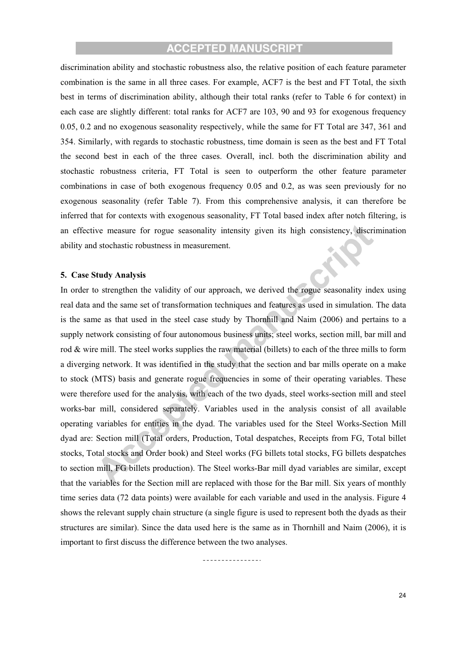discrimination ability and stochastic robustness also, the relative position of each feature parameter combination is the same in all three cases. For example, ACF7 is the best and FT Total, the sixth best in terms of discrimination ability, although their total ranks (refer to Table 6 for context) in each case are slightly different: total ranks for ACF7 are 103, 90 and 93 for exogenous frequency 0.05, 0.2 and no exogenous seasonality respectively, while the same for FT Total are 347, 361 and 354. Similarly, with regards to stochastic robustness, time domain is seen as the best and FT Total the second best in each of the three cases. Overall, incl. both the discrimination ability and stochastic robustness criteria, FT Total is seen to outperform the other feature parameter combinations in case of both exogenous frequency 0.05 and 0.2, as was seen previously for no exogenous seasonality (refer Table 7). From this comprehensive analysis, it can therefore be inferred that for contexts with exogenous seasonality, FT Total based index after notch filtering, is an effective measure for rogue seasonality intensity given its high consistency, discrimination ability and stochastic robustness in measurement.

#### **5. Case Study Analysis**

In order to strengthen the validity of our approach, we derived the rogue seasonality index using real data and the same set of transformation techniques and features as used in simulation. The data is the same as that used in the steel case study by Thornhill and Naim (2006) and pertains to a supply network consisting of four autonomous business units; steel works, section mill, bar mill and rod & wire mill. The steel works supplies the raw material (billets) to each of the three mills to form a diverging network. It was identified in the study that the section and bar mills operate on a make to stock (MTS) basis and generate rogue frequencies in some of their operating variables. These were therefore used for the analysis, with each of the two dyads, steel works-section mill and steel works-bar mill, considered separately. Variables used in the analysis consist of all available operating variables for entities in the dyad. The variables used for the Steel Works-Section Mill dyad are: Section mill (Total orders, Production, Total despatches, Receipts from FG, Total billet stocks, Total stocks and Order book) and Steel works (FG billets total stocks, FG billets despatches to section mill, FG billets production). The Steel works-Bar mill dyad variables are similar, except that the variables for the Section mill are replaced with those for the Bar mill. Six years of monthly time series data (72 data points) were available for each variable and used in the analysis. Figure 4 shows the relevant supply chain structure (a single figure is used to represent both the dyads as their structures are similar). Since the data used here is the same as in Thornhill and Naim (2006), it is important to first discuss the difference between the two analyses.

<u>---------------</u>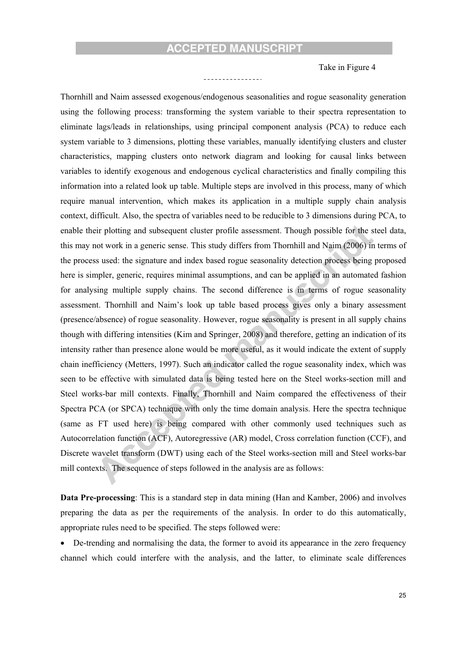Take in Figure 4

Thornhill and Naim assessed exogenous/endogenous seasonalities and rogue seasonality generation using the following process: transforming the system variable to their spectra representation to eliminate lags/leads in relationships, using principal component analysis (PCA) to reduce each system variable to 3 dimensions, plotting these variables, manually identifying clusters and cluster characteristics, mapping clusters onto network diagram and looking for causal links between variables to identify exogenous and endogenous cyclical characteristics and finally compiling this information into a related look up table. Multiple steps are involved in this process, many of which require manual intervention, which makes its application in a multiple supply chain analysis context, difficult. Also, the spectra of variables need to be reducible to 3 dimensions during PCA, to enable their plotting and subsequent cluster profile assessment. Though possible for the steel data, this may not work in a generic sense. This study differs from Thornhill and Naim (2006) in terms of the process used: the signature and index based rogue seasonality detection process being proposed here is simpler, generic, requires minimal assumptions, and can be applied in an automated fashion for analysing multiple supply chains. The second difference is in terms of rogue seasonality assessment. Thornhill and Naim's look up table based process gives only a binary assessment (presence/absence) of rogue seasonality. However, rogue seasonality is present in all supply chains though with differing intensities (Kim and Springer, 2008) and therefore, getting an indication of its intensity rather than presence alone would be more useful, as it would indicate the extent of supply chain inefficiency (Metters, 1997). Such an indicator called the rogue seasonality index, which was seen to be effective with simulated data is being tested here on the Steel works-section mill and Steel works-bar mill contexts. Finally, Thornhill and Naim compared the effectiveness of their Spectra PCA (or SPCA) technique with only the time domain analysis. Here the spectra technique (same as FT used here) is being compared with other commonly used techniques such as Autocorrelation function (ACF), Autoregressive (AR) model, Cross correlation function (CCF), and Discrete wavelet transform (DWT) using each of the Steel works-section mill and Steel works-bar mill contexts. The sequence of steps followed in the analysis are as follows:

**Data Pre-processing**: This is a standard step in data mining (Han and Kamber, 2006) and involves preparing the data as per the requirements of the analysis. In order to do this automatically, appropriate rules need to be specified. The steps followed were:

 De-trending and normalising the data, the former to avoid its appearance in the zero frequency channel which could interfere with the analysis, and the latter, to eliminate scale differences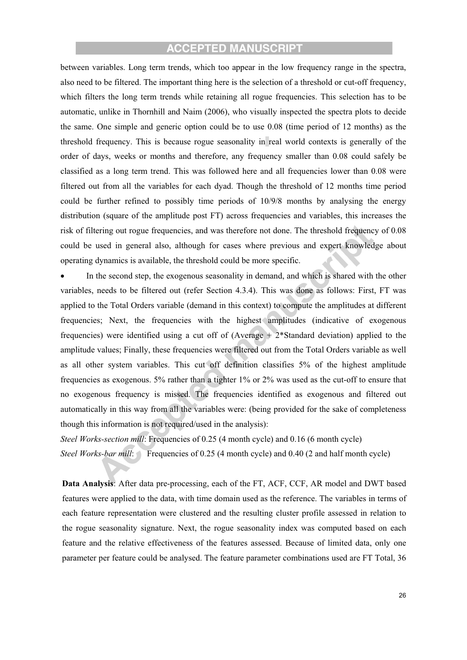between variables. Long term trends, which too appear in the low frequency range in the spectra, also need to be filtered. The important thing here is the selection of a threshold or cut-off frequency, which filters the long term trends while retaining all rogue frequencies. This selection has to be automatic, unlike in Thornhill and Naim (2006), who visually inspected the spectra plots to decide the same. One simple and generic option could be to use 0.08 (time period of 12 months) as the threshold frequency. This is because rogue seasonality in real world contexts is generally of the order of days, weeks or months and therefore, any frequency smaller than 0.08 could safely be classified as a long term trend. This was followed here and all frequencies lower than 0.08 were filtered out from all the variables for each dyad. Though the threshold of 12 months time period could be further refined to possibly time periods of 10/9/8 months by analysing the energy distribution (square of the amplitude post FT) across frequencies and variables, this increases the risk of filtering out rogue frequencies, and was therefore not done. The threshold frequency of 0.08 could be used in general also, although for cases where previous and expert knowledge about operating dynamics is available, the threshold could be more specific.

 In the second step, the exogenous seasonality in demand, and which is shared with the other variables, needs to be filtered out (refer Section 4.3.4). This was done as follows: First, FT was applied to the Total Orders variable (demand in this context) to compute the amplitudes at different frequencies; Next, the frequencies with the highest amplitudes (indicative of exogenous frequencies) were identified using a cut off of (Average + 2\*Standard deviation) applied to the amplitude values; Finally, these frequencies were filtered out from the Total Orders variable as well as all other system variables. This cut off definition classifies 5% of the highest amplitude frequencies as exogenous. 5% rather than a tighter 1% or 2% was used as the cut-off to ensure that no exogenous frequency is missed. The frequencies identified as exogenous and filtered out automatically in this way from all the variables were: (being provided for the sake of completeness though this information is not required/used in the analysis):

*Steel Works-section mill*: Frequencies of 0.25 (4 month cycle) and 0.16 (6 month cycle) *Steel Works-bar mill*: Frequencies of 0.25 (4 month cycle) and 0.40 (2 and half month cycle)

**Data Analysis**: After data pre-processing, each of the FT, ACF, CCF, AR model and DWT based features were applied to the data, with time domain used as the reference. The variables in terms of each feature representation were clustered and the resulting cluster profile assessed in relation to the rogue seasonality signature. Next, the rogue seasonality index was computed based on each feature and the relative effectiveness of the features assessed. Because of limited data, only one parameter per feature could be analysed. The feature parameter combinations used are FT Total, 36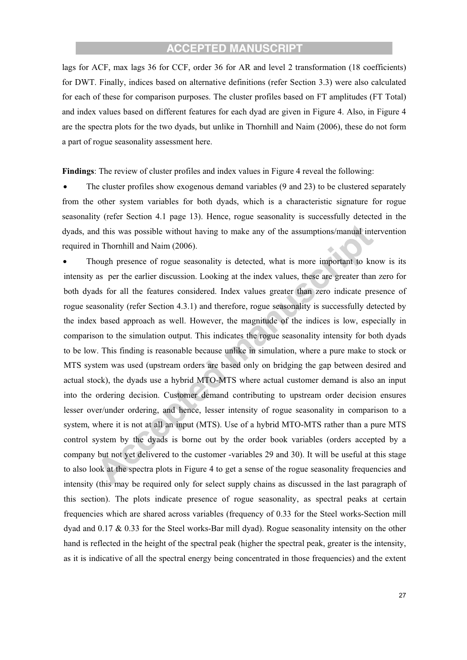lags for ACF, max lags 36 for CCF, order 36 for AR and level 2 transformation (18 coefficients) for DWT. Finally, indices based on alternative definitions (refer Section 3.3) were also calculated for each of these for comparison purposes. The cluster profiles based on FT amplitudes (FT Total) and index values based on different features for each dyad are given in Figure 4. Also, in Figure 4 are the spectra plots for the two dyads, but unlike in Thornhill and Naim (2006), these do not form a part of rogue seasonality assessment here.

**Findings**: The review of cluster profiles and index values in Figure 4 reveal the following:

 The cluster profiles show exogenous demand variables (9 and 23) to be clustered separately from the other system variables for both dyads, which is a characteristic signature for rogue seasonality (refer Section 4.1 page 13). Hence, rogue seasonality is successfully detected in the dyads, and this was possible without having to make any of the assumptions/manual intervention required in Thornhill and Naim (2006).

 Though presence of rogue seasonality is detected, what is more important to know is its intensity as per the earlier discussion. Looking at the index values, these are greater than zero for both dyads for all the features considered. Index values greater than zero indicate presence of rogue seasonality (refer Section 4.3.1) and therefore, rogue seasonality is successfully detected by the index based approach as well. However, the magnitude of the indices is low, especially in comparison to the simulation output. This indicates the rogue seasonality intensity for both dyads to be low. This finding is reasonable because unlike in simulation, where a pure make to stock or MTS system was used (upstream orders are based only on bridging the gap between desired and actual stock), the dyads use a hybrid MTO-MTS where actual customer demand is also an input into the ordering decision. Customer demand contributing to upstream order decision ensures lesser over/under ordering, and hence, lesser intensity of rogue seasonality in comparison to a system, where it is not at all an input (MTS). Use of a hybrid MTO-MTS rather than a pure MTS control system by the dyads is borne out by the order book variables (orders accepted by a company but not yet delivered to the customer -variables 29 and 30). It will be useful at this stage to also look at the spectra plots in Figure 4 to get a sense of the rogue seasonality frequencies and intensity (this may be required only for select supply chains as discussed in the last paragraph of this section). The plots indicate presence of rogue seasonality, as spectral peaks at certain frequencies which are shared across variables (frequency of 0.33 for the Steel works-Section mill dyad and 0.17 & 0.33 for the Steel works-Bar mill dyad). Rogue seasonality intensity on the other hand is reflected in the height of the spectral peak (higher the spectral peak, greater is the intensity, as it is indicative of all the spectral energy being concentrated in those frequencies) and the extent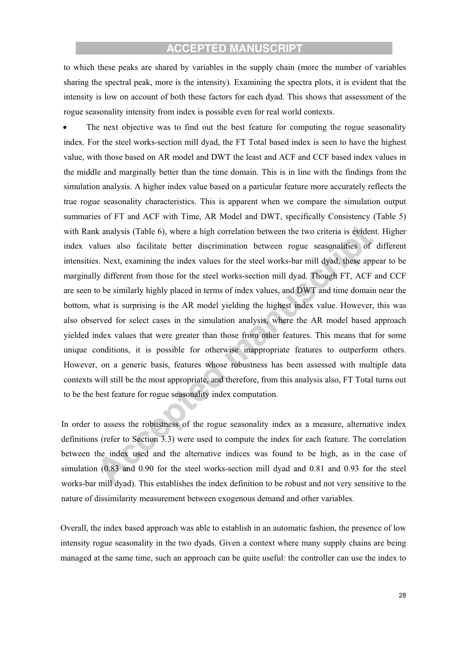to which these peaks are shared by variables in the supply chain (more the number of variables sharing the spectral peak, more is the intensity). Examining the spectra plots, it is evident that the intensity is low on account of both these factors for each dyad. This shows that assessment of the rogue seasonality intensity from index is possible even for real world contexts.

 The next objective was to find out the best feature for computing the rogue seasonality index. For the steel works-section mill dyad, the FT Total based index is seen to have the highest value, with those based on AR model and DWT the least and ACF and CCF based index values in the middle and marginally better than the time domain. This is in line with the findings from the simulation analysis. A higher index value based on a particular feature more accurately reflects the true rogue seasonality characteristics. This is apparent when we compare the simulation output summaries of FT and ACF with Time, AR Model and DWT, specifically Consistency (Table 5) with Rank analysis (Table 6), where a high correlation between the two criteria is evident. Higher index values also facilitate better discrimination between rogue seasonalities of different intensities. Next, examining the index values for the steel works-bar mill dyad, these appear to be marginally different from those for the steel works-section mill dyad. Though FT, ACF and CCF are seen to be similarly highly placed in terms of index values, and DWT and time domain near the bottom, what is surprising is the AR model yielding the highest index value. However, this was also observed for select cases in the simulation analysis, where the AR model based approach yielded index values that were greater than those from other features. This means that for some unique conditions, it is possible for otherwise inappropriate features to outperform others. However, on a generic basis, features whose robustness has been assessed with multiple data contexts will still be the most appropriate, and therefore, from this analysis also, FT Total turns out to be the best feature for rogue seasonality index computation.

In order to assess the robustness of the rogue seasonality index as a measure, alternative index definitions (refer to Section 3.3) were used to compute the index for each feature. The correlation between the index used and the alternative indices was found to be high, as in the case of simulation (0.83 and 0.90 for the steel works-section mill dyad and 0.81 and 0.93 for the steel works-bar mill dyad). This establishes the index definition to be robust and not very sensitive to the nature of dissimilarity measurement between exogenous demand and other variables.

Overall, the index based approach was able to establish in an automatic fashion, the presence of low intensity rogue seasonality in the two dyads. Given a context where many supply chains are being managed at the same time, such an approach can be quite useful: the controller can use the index to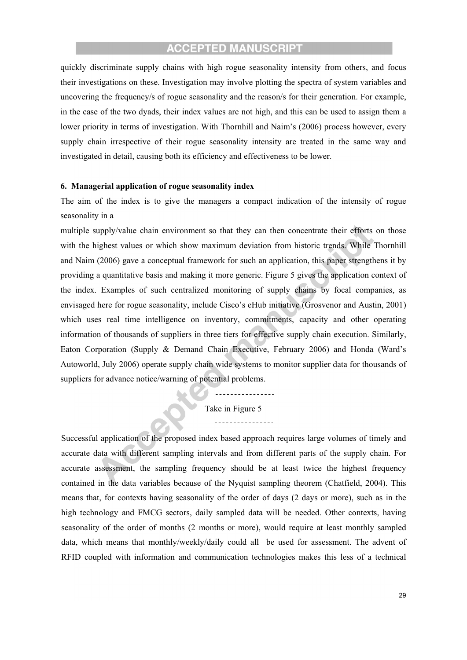quickly discriminate supply chains with high rogue seasonality intensity from others, and focus their investigations on these. Investigation may involve plotting the spectra of system variables and uncovering the frequency/s of rogue seasonality and the reason/s for their generation. For example, in the case of the two dyads, their index values are not high, and this can be used to assign them a lower priority in terms of investigation. With Thornhill and Naim's (2006) process however, every supply chain irrespective of their rogue seasonality intensity are treated in the same way and investigated in detail, causing both its efficiency and effectiveness to be lower.

#### **6. Managerial application of rogue seasonality index**

The aim of the index is to give the managers a compact indication of the intensity of rogue seasonality in a

multiple supply/value chain environment so that they can then concentrate their efforts on those with the highest values or which show maximum deviation from historic trends. While Thornhill and Naim (2006) gave a conceptual framework for such an application, this paper strengthens it by providing a quantitative basis and making it more generic. Figure 5 gives the application context of the index. Examples of such centralized monitoring of supply chains by focal companies, as envisaged here for rogue seasonality, include Cisco's eHub initiative (Grosvenor and Austin, 2001) which uses real time intelligence on inventory, commitments, capacity and other operating information of thousands of suppliers in three tiers for effective supply chain execution. Similarly, Eaton Corporation (Supply & Demand Chain Executive, February 2006) and Honda (Ward's Autoworld, July 2006) operate supply chain wide systems to monitor supplier data for thousands of suppliers for advance notice/warning of potential problems.

Take in Figure 5

Successful application of the proposed index based approach requires large volumes of timely and accurate data with different sampling intervals and from different parts of the supply chain. For accurate assessment, the sampling frequency should be at least twice the highest frequency contained in the data variables because of the Nyquist sampling theorem (Chatfield, 2004). This means that, for contexts having seasonality of the order of days (2 days or more), such as in the high technology and FMCG sectors, daily sampled data will be needed. Other contexts, having seasonality of the order of months (2 months or more), would require at least monthly sampled data, which means that monthly/weekly/daily could all be used for assessment. The advent of RFID coupled with information and communication technologies makes this less of a technical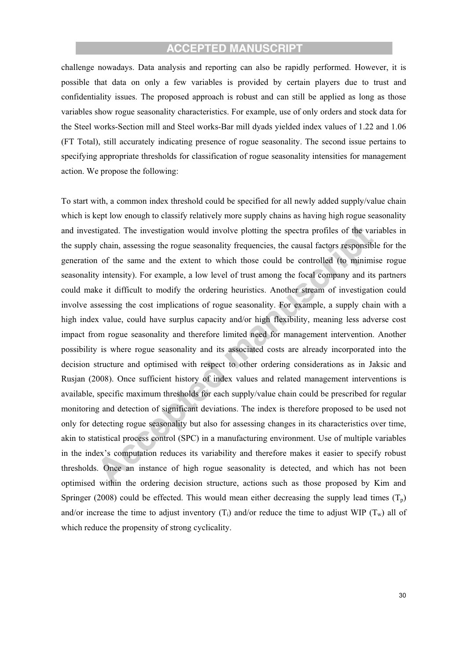challenge nowadays. Data analysis and reporting can also be rapidly performed. However, it is possible that data on only a few variables is provided by certain players due to trust and confidentiality issues. The proposed approach is robust and can still be applied as long as those variables show rogue seasonality characteristics. For example, use of only orders and stock data for the Steel works-Section mill and Steel works-Bar mill dyads yielded index values of 1.22 and 1.06 (FT Total), still accurately indicating presence of rogue seasonality. The second issue pertains to specifying appropriate thresholds for classification of rogue seasonality intensities for management action. We propose the following:

To start with, a common index threshold could be specified for all newly added supply/value chain which is kept low enough to classify relatively more supply chains as having high rogue seasonality and investigated. The investigation would involve plotting the spectra profiles of the variables in the supply chain, assessing the rogue seasonality frequencies, the causal factors responsible for the generation of the same and the extent to which those could be controlled (to minimise rogue seasonality intensity). For example, a low level of trust among the focal company and its partners could make it difficult to modify the ordering heuristics. Another stream of investigation could involve assessing the cost implications of rogue seasonality. For example, a supply chain with a high index value, could have surplus capacity and/or high flexibility, meaning less adverse cost impact from rogue seasonality and therefore limited need for management intervention. Another possibility is where rogue seasonality and its associated costs are already incorporated into the decision structure and optimised with respect to other ordering considerations as in Jaksic and Rusjan (2008). Once sufficient history of index values and related management interventions is available, specific maximum thresholds for each supply/value chain could be prescribed for regular monitoring and detection of significant deviations. The index is therefore proposed to be used not only for detecting rogue seasonality but also for assessing changes in its characteristics over time, akin to statistical process control (SPC) in a manufacturing environment. Use of multiple variables in the index's computation reduces its variability and therefore makes it easier to specify robust thresholds. Once an instance of high rogue seasonality is detected, and which has not been optimised within the ordering decision structure, actions such as those proposed by Kim and Springer (2008) could be effected. This would mean either decreasing the supply lead times  $(T_p)$ and/or increase the time to adjust inventory  $(T_i)$  and/or reduce the time to adjust WIP  $(T_w)$  all of which reduce the propensity of strong cyclicality.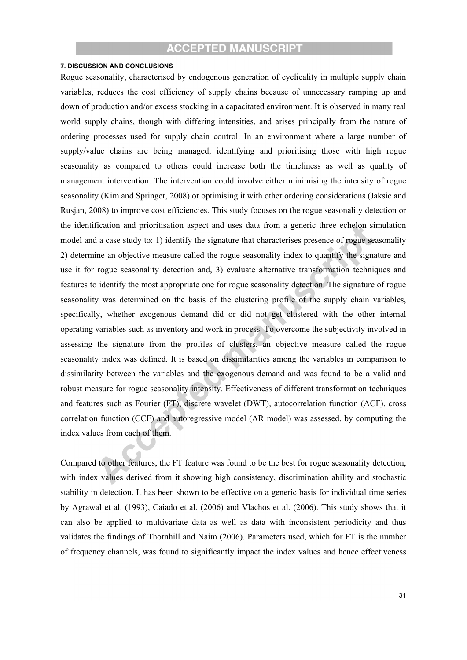#### **7. DISCUSSION AND CONCLUSIONS**

Rogue seasonality, characterised by endogenous generation of cyclicality in multiple supply chain variables, reduces the cost efficiency of supply chains because of unnecessary ramping up and down of production and/or excess stocking in a capacitated environment. It is observed in many real world supply chains, though with differing intensities, and arises principally from the nature of ordering processes used for supply chain control. In an environment where a large number of supply/value chains are being managed, identifying and prioritising those with high rogue seasonality as compared to others could increase both the timeliness as well as quality of management intervention. The intervention could involve either minimising the intensity of rogue seasonality (Kim and Springer, 2008) or optimising it with other ordering considerations (Jaksic and Rusjan, 2008) to improve cost efficiencies. This study focuses on the rogue seasonality detection or the identification and prioritisation aspect and uses data from a generic three echelon simulation model and a case study to: 1) identify the signature that characterises presence of rogue seasonality 2) determine an objective measure called the rogue seasonality index to quantify the signature and use it for rogue seasonality detection and, 3) evaluate alternative transformation techniques and features to identify the most appropriate one for rogue seasonality detection. The signature of rogue seasonality was determined on the basis of the clustering profile of the supply chain variables, specifically, whether exogenous demand did or did not get clustered with the other internal operating variables such as inventory and work in process. To overcome the subjectivity involved in assessing the signature from the profiles of clusters, an objective measure called the rogue seasonality index was defined. It is based on dissimilarities among the variables in comparison to dissimilarity between the variables and the exogenous demand and was found to be a valid and robust measure for rogue seasonality intensity. Effectiveness of different transformation techniques and features such as Fourier (FT), discrete wavelet (DWT), autocorrelation function (ACF), cross correlation function (CCF) and autoregressive model (AR model) was assessed, by computing the index values from each of them.

Compared to other features, the FT feature was found to be the best for rogue seasonality detection, with index values derived from it showing high consistency, discrimination ability and stochastic stability in detection. It has been shown to be effective on a generic basis for individual time series by Agrawal et al. (1993), Caiado et al. (2006) and Vlachos et al. (2006). This study shows that it can also be applied to multivariate data as well as data with inconsistent periodicity and thus validates the findings of Thornhill and Naim (2006). Parameters used, which for FT is the number of frequency channels, was found to significantly impact the index values and hence effectiveness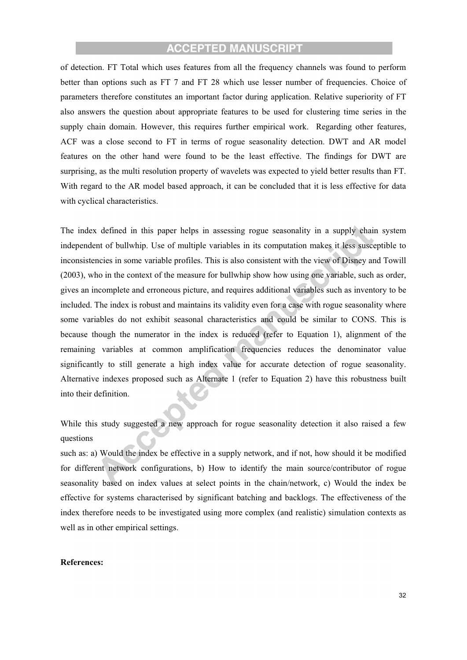of detection. FT Total which uses features from all the frequency channels was found to perform better than options such as FT 7 and FT 28 which use lesser number of frequencies. Choice of parameters therefore constitutes an important factor during application. Relative superiority of FT also answers the question about appropriate features to be used for clustering time series in the supply chain domain. However, this requires further empirical work. Regarding other features, ACF was a close second to FT in terms of rogue seasonality detection. DWT and AR model features on the other hand were found to be the least effective. The findings for DWT are surprising, as the multi resolution property of wavelets was expected to yield better results than FT. With regard to the AR model based approach, it can be concluded that it is less effective for data with cyclical characteristics.

The index defined in this paper helps in assessing rogue seasonality in a supply chain system independent of bullwhip. Use of multiple variables in its computation makes it less susceptible to inconsistencies in some variable profiles. This is also consistent with the view of Disney and Towill (2003), who in the context of the measure for bullwhip show how using one variable, such as order, gives an incomplete and erroneous picture, and requires additional variables such as inventory to be included. The index is robust and maintains its validity even for a case with rogue seasonality where some variables do not exhibit seasonal characteristics and could be similar to CONS. This is because though the numerator in the index is reduced (refer to Equation 1), alignment of the remaining variables at common amplification frequencies reduces the denominator value significantly to still generate a high index value for accurate detection of rogue seasonality. Alternative indexes proposed such as Alternate 1 (refer to Equation 2) have this robustness built into their definition.

While this study suggested a new approach for rogue seasonality detection it also raised a few questions

such as: a) Would the index be effective in a supply network, and if not, how should it be modified for different network configurations, b) How to identify the main source/contributor of rogue seasonality based on index values at select points in the chain/network, c) Would the index be effective for systems characterised by significant batching and backlogs. The effectiveness of the index therefore needs to be investigated using more complex (and realistic) simulation contexts as well as in other empirical settings.

#### **References:**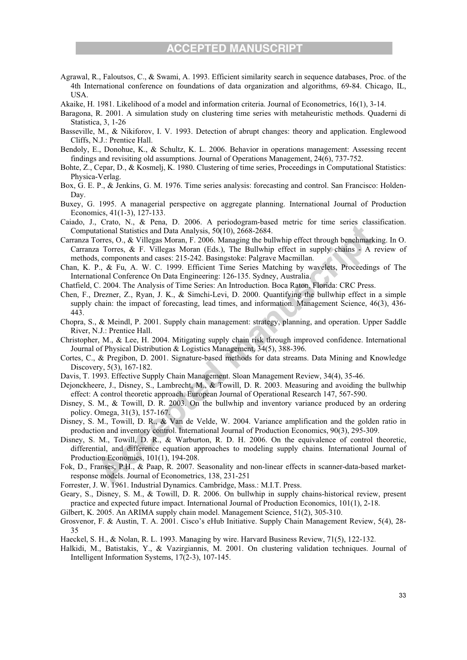- Agrawal, R., Faloutsos, C., & Swami, A. 1993. Efficient similarity search in sequence databases, Proc. of the 4th International conference on foundations of data organization and algorithms, 69-84. Chicago, IL, USA.
- Akaike, H. 1981. Likelihood of a model and information criteria. Journal of Econometrics, 16(1), 3-14.
- Baragona, R. 2001. A simulation study on clustering time series with metaheuristic methods. Quaderni di Statistica, 3, 1-26
- Basseville, M., & Nikiforov, I. V. 1993. Detection of abrupt changes: theory and application. Englewood Cliffs, N.J.: Prentice Hall.
- Bendoly, E., Donohue, K., & Schultz, K. L. 2006. Behavior in operations management: Assessing recent findings and revisiting old assumptions. Journal of Operations Management, 24(6), 737-752.
- Bohte, Z., Cepar, D., & Kosmelj, K. 1980. Clustering of time series, Proceedings in Computational Statistics: Physica-Verlag.
- Box, G. E. P., & Jenkins, G. M. 1976. Time series analysis: forecasting and control. San Francisco: Holden-Day.
- Buxey, G. 1995. A managerial perspective on aggregate planning. International Journal of Production Economics, 41(1-3), 127-133.
- Caiado, J., Crato, N., & Pena, D. 2006. A periodogram-based metric for time series classification. Computational Statistics and Data Analysis, 50(10), 2668-2684.
- Carranza Torres, O., & Villegas Moran, F. 2006. Managing the bullwhip effect through benchmarking. In O. Carranza Torres, & F. Villegas Moran (Eds.), The Bullwhip effect in supply chains - A review of methods, components and cases: 215-242. Basingstoke: Palgrave Macmillan.
- Chan, K. P., & Fu, A. W. C. 1999. Efficient Time Series Matching by wavelets, Proceedings of The International Conference On Data Engineering: 126-135. Sydney, Australia.
- Chatfield, C. 2004. The Analysis of Time Series: An Introduction. Boca Raton, Florida: CRC Press.
- Chen, F., Drezner, Z., Ryan, J. K., & Simchi-Levi, D. 2000. Quantifying the bullwhip effect in a simple supply chain: the impact of forecasting, lead times, and information. Management Science, 46(3), 436-443.
- Chopra, S., & Meindl, P. 2001. Supply chain management: strategy, planning, and operation. Upper Saddle River, N.J.: Prentice Hall.
- Christopher, M., & Lee, H. 2004. Mitigating supply chain risk through improved confidence. International Journal of Physical Distribution & Logistics Management, 34(5), 388-396.
- Cortes, C., & Pregibon, D. 2001. Signature-based methods for data streams. Data Mining and Knowledge Discovery, 5(3), 167-182.
- Davis, T. 1993. Effective Supply Chain Management. Sloan Management Review, 34(4), 35-46.
- Dejonckheere, J., Disney, S., Lambrecht, M., & Towill, D. R. 2003. Measuring and avoiding the bullwhip effect: A control theoretic approach. European Journal of Operational Research 147, 567-590.
- Disney, S. M., & Towill, D. R. 2003. On the bullwhip and inventory variance produced by an ordering policy. Omega, 31(3), 157-167.
- Disney, S. M., Towill, D. R., & Van de Velde, W. 2004. Variance amplification and the golden ratio in production and inventory control. International Journal of Production Economics, 90(3), 295-309.
- Disney, S. M., Towill, D. R., & Warburton, R. D. H. 2006. On the equivalence of control theoretic, differential, and difference equation approaches to modeling supply chains. International Journal of Production Economics, 101(1), 194-208.
- Fok, D., Franses, P.H., & Paap, R. 2007. Seasonality and non-linear effects in scanner-data-based marketresponse models. Journal of Econometrics, 138, 231-251
- Forrester, J. W. 1961. Industrial Dynamics. Cambridge, Mass.: M.I.T. Press.
- Geary, S., Disney, S. M., & Towill, D. R. 2006. On bullwhip in supply chains-historical review, present practice and expected future impact. International Journal of Production Economics, 101(1), 2-18.
- Gilbert, K. 2005. An ARIMA supply chain model. Management Science, 51(2), 305-310.
- Grosvenor, F. & Austin, T. A. 2001. Cisco's eHub Initiative. Supply Chain Management Review, 5(4), 28- 35
- Haeckel, S. H., & Nolan, R. L. 1993. Managing by wire. Harvard Business Review, 71(5), 122-132.
- Halkidi, M., Batistakis, Y., & Vazirgiannis, M. 2001. On clustering validation techniques. Journal of Intelligent Information Systems, 17(2-3), 107-145.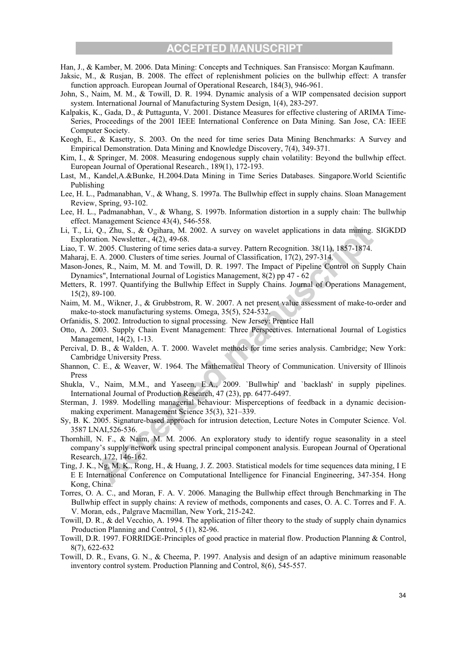Han, J., & Kamber, M. 2006. Data Mining: Concepts and Techniques. San Fransisco: Morgan Kaufmann.

- Jaksic, M., & Rusjan, B. 2008. The effect of replenishment policies on the bullwhip effect: A transfer function approach. European Journal of Operational Research, 184(3), 946-961.
- John, S., Naim, M. M., & Towill, D. R. 1994. Dynamic analysis of a WIP compensated decision support system. International Journal of Manufacturing System Design, 1(4), 283-297.
- Kalpakis, K., Gada, D., & Puttagunta, V. 2001. Distance Measures for effective clustering of ARIMA Time-Series, Proceedings of the 2001 IEEE International Conference on Data Mining. San Jose, CA: IEEE Computer Society.
- Keogh, E., & Kasetty, S. 2003. On the need for time series Data Mining Benchmarks: A Survey and Empirical Demonstration. Data Mining and Knowledge Discovery, 7(4), 349-371.
- Kim, I., & Springer, M. 2008. Measuring endogenous supply chain volatility: Beyond the bullwhip effect. European Journal of Operational Research., 189(1), 172-193.
- Last, M., Kandel,A.&Bunke, H.2004.Data Mining in Time Series Databases. Singapore.World Scientific Publishing
- Lee, H. L., Padmanabhan, V., & Whang, S. 1997a. The Bullwhip effect in supply chains. Sloan Management Review, Spring, 93-102.
- Lee, H. L., Padmanabhan, V., & Whang, S. 1997b. Information distortion in a supply chain: The bullwhip effect. Management Science 43(4), 546-558.
- Li, T., Li, Q., Zhu, S., & Ogihara, M. 2002. A survey on wavelet applications in data mining. SIGKDD Exploration. Newsletter., 4(2), 49-68.
- Liao, T. W. 2005. Clustering of time series data-a survey. Pattern Recognition. 38(11), 1857-1874.
- Maharaj, E. A. 2000. Clusters of time series. Journal of Classification, 17(2), 297-314.
- Mason-Jones, R., Naim, M. M. and Towill, D. R. 1997. The Impact of Pipeline Control on Supply Chain Dynamics", International Journal of Logistics Management, 8(2) pp 47 - 62
- Metters, R. 1997. Quantifying the Bullwhip Effect in Supply Chains. Journal of Operations Management, 15(2), 89-100.
- Naim, M. M., Wikner, J., & Grubbstrom, R. W. 2007. A net present value assessment of make-to-order and make-to-stock manufacturing systems. Omega, 35(5), 524-532.
- Orfanidis, S. 2002. Introduction to signal processing. New Jersey: Prentice Hall
- Otto, A. 2003. Supply Chain Event Management: Three Perspectives. International Journal of Logistics Management, 14(2), 1-13.
- Percival, D. B., & Walden, A. T. 2000. Wavelet methods for time series analysis. Cambridge; New York: Cambridge University Press.
- Shannon, C. E., & Weaver, W. 1964. The Mathematical Theory of Communication. University of Illinois Press
- Shukla, V., Naim, M.M., and Yaseen, E.A., 2009. `Bullwhip' and `backlash' in supply pipelines. International Journal of Production Research, 47 (23), pp. 6477-6497.
- Sterman, J. 1989. Modelling managerial behaviour: Misperceptions of feedback in a dynamic decisionmaking experiment. Management Science 35(3), 321–339.
- Sy, B. K. 2005. Signature-based approach for intrusion detection, Lecture Notes in Computer Science. Vol. 3587 LNAI,526-536.
- Thornhill, N. F., & Naim, M. M. 2006. An exploratory study to identify rogue seasonality in a steel company's supply network using spectral principal component analysis. European Journal of Operational Research, 172, 146-162.
- Ting, J. K., Ng, M. K., Rong, H., & Huang, J. Z. 2003. Statistical models for time sequences data mining, I E E E International Conference on Computational Intelligence for Financial Engineering, 347-354. Hong Kong, China.
- Torres, O. A. C., and Moran, F. A. V. 2006. Managing the Bullwhip effect through Benchmarking in The Bullwhip effect in supply chains: A review of methods, components and cases, O. A. C. Torres and F. A. V. Moran, eds., Palgrave Macmillan, New York, 215-242.
- Towill, D. R., & del Vecchio, A. 1994. The application of filter theory to the study of supply chain dynamics Production Planning and Control, 5 (1), 82-96.
- Towill, D.R. 1997. FORRIDGE-Principles of good practice in material flow. Production Planning & Control, 8(7), 622-632
- Towill, D. R., Evans, G. N., & Cheema, P. 1997. Analysis and design of an adaptive minimum reasonable inventory control system. Production Planning and Control, 8(6), 545-557.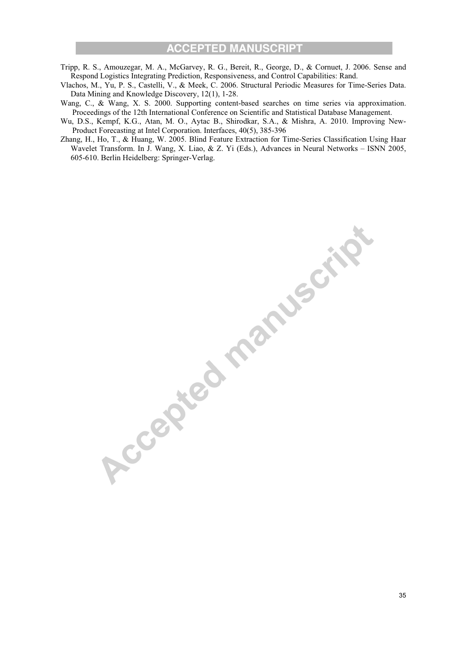- Tripp, R. S., Amouzegar, M. A., McGarvey, R. G., Bereit, R., George, D., & Cornuet, J. 2006. Sense and Respond Logistics Integrating Prediction, Responsiveness, and Control Capabilities: Rand.
- Vlachos, M., Yu, P. S., Castelli, V., & Meek, C. 2006. Structural Periodic Measures for Time-Series Data. Data Mining and Knowledge Discovery, 12(1), 1-28.
- Wang, C., & Wang, X. S. 2000. Supporting content-based searches on time series via approximation. Proceedings of the 12th International Conference on Scientific and Statistical Database Management.
- Wu, D.S., Kempf, K.G., Atan, M. O., Aytac B., Shirodkar, S.A., & Mishra, A. 2010. Improving New-Product Forecasting at Intel Corporation. Interfaces, 40(5), 385-396
- Zhang, H., Ho, T., & Huang, W. 2005. Blind Feature Extraction for Time-Series Classification Using Haar Wavelet Transform. In J. Wang, X. Liao, & Z. Yi (Eds.), Advances in Neural Networks – ISNN 2005, 605-610. Berlin Heidelberg: Springer-Verlag.

Accepted manuscript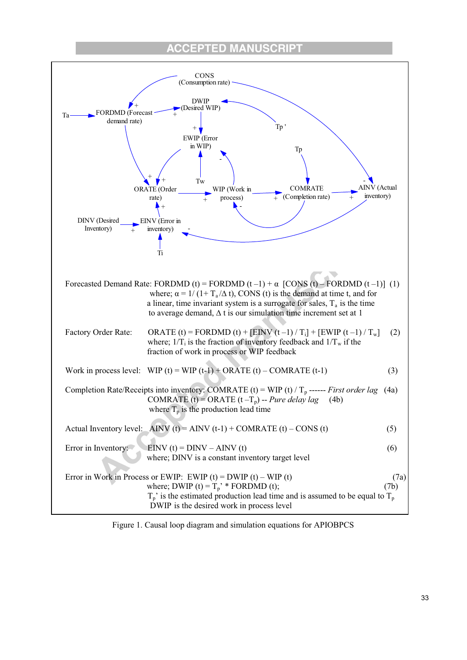

Figure 1. Causal loop diagram and simulation equations for APIOBPCS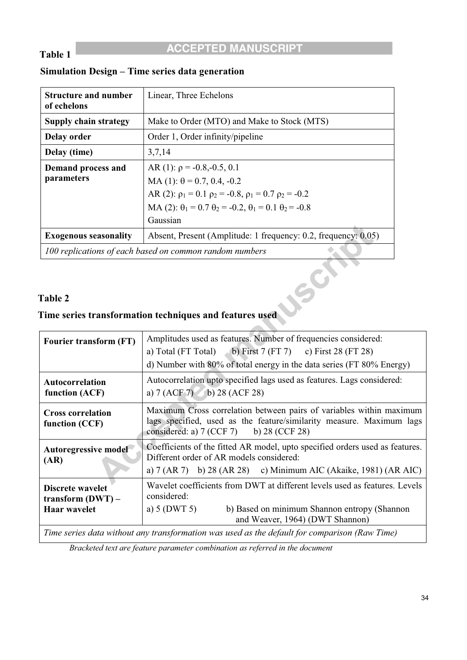# **Table 1**

| <b>Structure and number</b><br>of echelons | Linear, Three Echelons                                                                                                                                                                                                                  |
|--------------------------------------------|-----------------------------------------------------------------------------------------------------------------------------------------------------------------------------------------------------------------------------------------|
| Supply chain strategy                      | Make to Order (MTO) and Make to Stock (MTS)                                                                                                                                                                                             |
| Delay order                                | Order 1, Order infinity/pipeline                                                                                                                                                                                                        |
| Delay (time)                               | 3,7,14                                                                                                                                                                                                                                  |
| <b>Demand process and</b><br>parameters    | AR (1): $\rho = -0.8, -0.5, 0.1$<br>MA (1): $\theta$ = 0.7, 0.4, -0.2<br>AR (2): $\rho_1 = 0.1 \rho_2 = -0.8$ , $\rho_1 = 0.7 \rho_2 = -0.2$<br>MA (2): $\theta_1 = 0.7 \theta_2 = -0.2$ , $\theta_1 = 0.1 \theta_2 = -0.8$<br>Gaussian |
| <b>Exogenous seasonality</b>               | Absent, Present (Amplitude: 1 frequency: 0.2, frequency: 0.05)                                                                                                                                                                          |
|                                            | 100 replications of each based on common random numbers                                                                                                                                                                                 |
| Table 2                                    | Time series transformation techniques and features used                                                                                                                                                                                 |

# **Simulation Design – Time series data generation**

# **Table 2**

| <b>Fourier transform (FT)</b>                           | Amplitudes used as features. Number of frequencies considered:<br>a) Total (FT Total) (b) First $7$ (FT $7$ ) c) First 28 (FT 28)<br>d) Number with 80% of total energy in the data series (FT 80% Energy) |
|---------------------------------------------------------|------------------------------------------------------------------------------------------------------------------------------------------------------------------------------------------------------------|
| <b>Autocorrelation</b><br>function (ACF)                | Autocorrelation upto specified lags used as features. Lags considered:<br>a) $7 (ACF 7)$ b) 28 $(ACF 28)$                                                                                                  |
| <b>Cross correlation</b><br>function (CCF)              | Maximum Cross correlation between pairs of variables within maximum<br>lags specified, used as the feature/similarity measure. Maximum lags<br>considered: a) $7$ (CCF 7) b) 28 (CCF 28)                   |
| <b>Autoregressive model</b><br>(AR)                     | Coefficients of the fitted AR model, upto specified orders used as features.<br>Different order of AR models considered:<br>a) 7 (AR 7) b) 28 (AR 28) c) Minimum AIC (Akaike, 1981) (AR AIC)               |
| Discrete wavelet<br>transform $(DWT)$ –<br>Haar wavelet | Wavelet coefficients from DWT at different levels used as features. Levels<br>considered:<br>a) $5(DWT 5)$<br>b) Based on minimum Shannon entropy (Shannon<br>and Weaver, 1964) (DWT Shannon)              |
|                                                         |                                                                                                                                                                                                            |

*Time series data without any transformation was used as the default for comparison (Raw Time)* 

 *Bracketed text are feature parameter combination as referred in the document*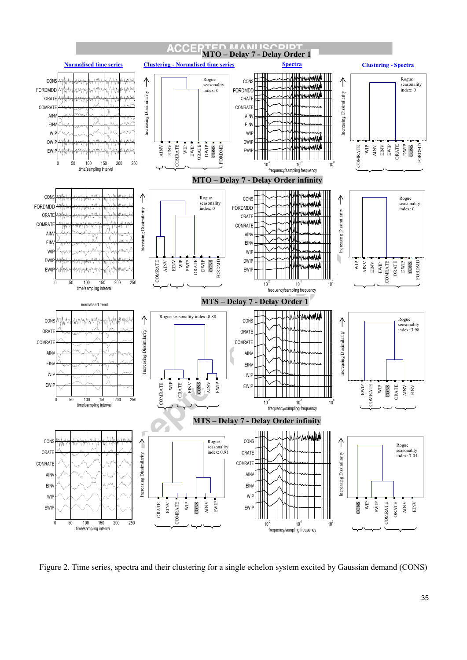

Figure 2. Time series, spectra and their clustering for a single echelon system excited by Gaussian demand (CONS)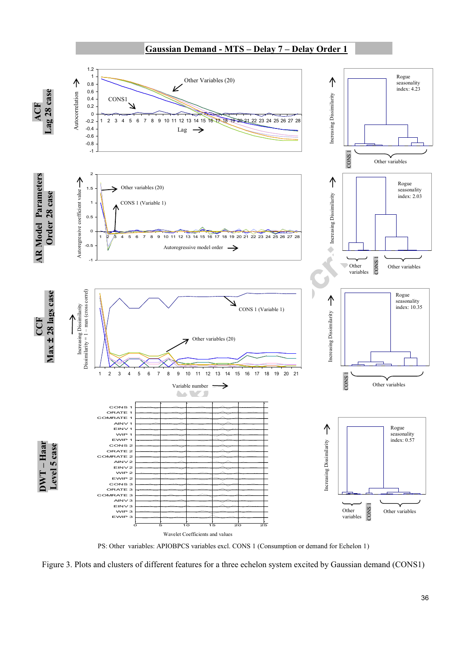#### **Gaussian Demand - MTS – Delay 7 – Delay Order 1**



PS: Other variables: APIOBPCS variables excl. CONS 1 (Consumption or demand for Echelon 1)

Figure 3. Plots and clusters of different features for a three echelon system excited by Gaussian demand (CONS1)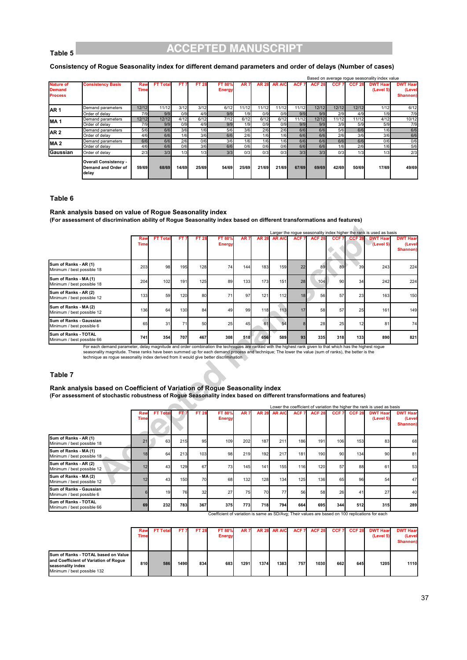#### **Table 5**

#### **Consistency of Rogue Seasonality index for different demand parameters and order of delays (Number of cases)**

|                                                     |                                                              |             |                 |       |              |                         |                 |              |               |            |               |                  |               | Based on average rogue seasonality index value |                                       |
|-----------------------------------------------------|--------------------------------------------------------------|-------------|-----------------|-------|--------------|-------------------------|-----------------|--------------|---------------|------------|---------------|------------------|---------------|------------------------------------------------|---------------------------------------|
| <b>Nature of</b><br><b>Demand</b><br><b>Process</b> | <b>Consistency Basis</b>                                     | Rav<br>Time | <b>FT Total</b> | FT 7  | <b>FT 28</b> | FT 80%<br><b>Energy</b> | AR <sub>7</sub> | <b>AR 28</b> | <b>AR AIC</b> | <b>ACF</b> | <b>ACF 28</b> | CCF <sub>7</sub> | <b>CCF 28</b> | <b>DWT Haar</b><br>(Level 5)                   | <b>DWT Haar</b><br>(Level<br>Shannon) |
| IAR <sub>1</sub>                                    | Demand parameters                                            | 12/12       | 11/12           | 3/12  | 3/12         | 6/12                    | 11/12           | 11/12        | 11/12         | 11/12      | 12/12         | 12/12            | 12/12         | 1/12                                           | 6/12                                  |
|                                                     | Order of delav                                               | 7/9         | 9/9             | 0/9   | 4/9          | 9/9                     | 1/9             | 0/9          | 0/9           | 9/9        | 9/9           | 2/9              | 4/9           | 1/9                                            | 7/9                                   |
| IMA <sub>1</sub>                                    | Demand parameters                                            | 12/12       | 12/12           | 4/12  | 6/12         | 7/12                    | 6/12            | 6/12         | 6/12          | 11/12      | 12/12         | 11/12            | 11/12         | 4/12                                           | 10/12                                 |
|                                                     | Order of delav                                               | 7/9         | 9/9             | 0/9   | 4/9          | 9/9                     | 1/9             | 0/9          | 0/9           | 9/9        | 9/9           | 3/9              | 5/9           | 5/9                                            | 7/9                                   |
| AR <sub>2</sub>                                     | Demand parameters                                            | 5/6         | 6/6             | 3/6   | 1/6          | 5/6                     | 3/6             | 2/6          | 2/6           | 6/6        | 6/6           | 5/6              | 6/6           | 1/6                                            | 6/6                                   |
|                                                     | Order of delav                                               | 4/6         | 6/6             | 1/6   | 3/6          | 6/6                     | 2/6             | 1/6          | 1/6           | 6/6        | 6/6           | 2/6              | 3/6           | 3/6                                            | 6/6                                   |
| MA <sub>2</sub>                                     | Demand parameters                                            | 6/6         | 6/6             | 2/6   | 0/6          | 3/6                     | 1/6             | 1/6          | $1\sqrt{6}$   | 6/6        | 6/6           | 6/6              | 6/6           | 0/6                                            | 0/6                                   |
|                                                     | Order of delav                                               | 4/6         | 6/6             | 0/6   | 3/6          | 6/6                     | 0/6             | 0/6          | 0/6           | 6/6        | 6/6           | 1/6              | 2/6           | 1/6                                            | 5/6                                   |
| Gaussian                                            | Order of delav                                               | 2/3         | 3/3             | 1/3   | 1/3          | 3/3                     | 0/3             | 0/3          | 0/3           | 3/3        | 3/3           | 0/3              | 1/3           | 1/3                                            | 2/3                                   |
|                                                     | <b>Overall Consistency -</b><br>Demand and Order of<br>delay | 59/69       | 68/69           | 14/69 | 25/69        | 54/69                   | 25/69           | 21/69        | 21/69         | 67/69      | 69/69         | 42/69            | 50/69         | 17/69                                          | 49/69                                 |

#### **Table 6**

**Rank analysis based on value of Rogue Seasonality index (For assessment of discrimination ability of Rogue Seasonality index based on different transformations and features)**

|                                                      |                    |                 |      |              |                         |            |              |               |                  |                  |                  |                  | Larger the rogue seasonality index higher the rank is used as basis |                                       |
|------------------------------------------------------|--------------------|-----------------|------|--------------|-------------------------|------------|--------------|---------------|------------------|------------------|------------------|------------------|---------------------------------------------------------------------|---------------------------------------|
|                                                      | Ray<br><b>Time</b> | <b>FT Total</b> | FT 3 | <b>FT 28</b> | FT 80%<br><b>Energy</b> | <b>AR7</b> | <b>AR 28</b> | <b>AR AIC</b> | ACF <sub>7</sub> | <b>ACF 28</b>    | CCF <sub>7</sub> | <b>CCF 28</b>    | <b>DWT Haar</b><br>(Level 5)                                        | <b>DWT Haar</b><br>(Level<br>Shannon) |
| Sum of Ranks - AR (1)<br>Minimum / best possible 18  | 203                | 98              | 195  | 128          | 74                      | 144        | 183          | 159           | 22               | 89               | 89               | 39               | 243                                                                 | 224                                   |
| Sum of Ranks - MA (1)<br>Minimum / best possible 18  | 204                | 102             | 191  | 125          | 89                      | 133        | 173          | 151           | 28               | 104              | 90               | 34               | 242                                                                 | 224                                   |
| Sum of Ranks - AR (2)<br>Minimum / best possible 12  | 133                | 59              | 120  | 80           | 71                      | 97         | 121          | 112           | 18               | 56               | 57               | 23               | 163                                                                 | 150                                   |
| Sum of Ranks - MA (2)<br>Minimum / best possible 12  | 136                | 64              | 130  | 84           | 49                      | 99         | 118          | 113           | 17               | 58               | 57               | 25               | 161                                                                 | 149                                   |
| Sum of Ranks - Gaussian<br>Minimum / best possible 6 | 65                 | 31              | 71   | 50           | 25                      | 45         | 61           | 54            | $\mathbf{R}$     | 28               | 25               | 12               | 81                                                                  | 74                                    |
| Sum of Ranks - TOTAL<br>Minimum / best possible 66   | 741                | 354             | 707  | 467          | 308                     | 518        | 656          | 589           | 93               | 335 <sub>1</sub> | 318              | 133 <sup>1</sup> | 890                                                                 | 821                                   |

For each demand parameter, delay magnitude and order combination the techniques are ranked with the highest rank given to that which has the highest rogue<br>seasonality magnitude. These ranks have been summed up for each dem technique as rogue seasonality index derived from it would give better discrimination

#### **Table 7**

# **Rank analysis based on Coefficient of Variation of Rogue Seasonality index**

**(For assessment of stochastic robustness of Rogue Seasonality index based on different transformations and features)**

|                                                      |             |                 |     |              |                         |            |              |               |                  |                  |                  |               | Lower the coefficient of variation the higher the rank is used as basis |                                       |
|------------------------------------------------------|-------------|-----------------|-----|--------------|-------------------------|------------|--------------|---------------|------------------|------------------|------------------|---------------|-------------------------------------------------------------------------|---------------------------------------|
|                                                      | Raw<br>Time | <b>FT Total</b> | FТ  | <b>FT 28</b> | FT 80%<br><b>Energy</b> | <b>AR7</b> | <b>AR 28</b> | <b>AR AIC</b> | ACF <sub>7</sub> | <b>ACF 28</b>    | CCF <sub>7</sub> | <b>CCF 28</b> | <b>DWT Haar</b><br>(Level 5)                                            | <b>DWT Haar</b><br>(Level<br>Shannon) |
| Sum of Ranks - AR (1)<br>Minimum / best possible 18  | 21          | 63              | 215 | 95           | 109                     | 202        | 187          | 211           | 186              | 191              | 106              | 153           | 83                                                                      | 68                                    |
| Sum of Ranks - MA (1)<br>Minimum / best possible 18  | 18          | 64              | 213 | 103          | 98                      | 219        | 192          | 217           | 181              | 190 <sup>1</sup> | 90               | 134           | 90                                                                      | 81                                    |
| Sum of Ranks - AR (2)<br>Minimum / best possible 12  | 12          | 43              | 129 | 67           | 73                      | 145        | 141          | 155           | 116              | 120              | 57               | 88            | 61                                                                      | 53                                    |
| Sum of Ranks - MA (2)<br>Minimum / best possible 12  |             | 43              | 150 | 70           | 68                      | 132        | 128          | 134           | 125              | 136              | 65               | 96            | 54                                                                      | 47                                    |
| Sum of Ranks - Gaussian<br>Minimum / best possible 6 |             | 19              | 76  | 32           | 27                      | 75         | 70           | 77            | 56               | 58               | 26               | 41            | 27                                                                      | 40                                    |
| Sum of Ranks - TOTAL<br>Minimum / best possible 66   | 69          | 232             | 783 | 367          | 375                     | 773        | 718          | 794           | 664I             | 695              | 344              | 512           | 315                                                                     | 289                                   |

Coefficient of variation is same as SD/Avg; Their values are based on 100 replications for each

|                                                                                                                                  | Raw<br><b>Time</b> | <b>FT Total</b> | FT 7 | <b>FT 28</b> | FT 80%<br><b>Energy</b> | <b>AR 7</b> |      | AR 28 AR AIC | ACF <sub>7</sub> | <b>ACF 28</b> | CCF <sub>7</sub> | <b>CCF 28</b> | <b>DWT Haar</b><br>(Level 5) | <b>DWT Haar</b><br>(Level<br>Shannon) |
|----------------------------------------------------------------------------------------------------------------------------------|--------------------|-----------------|------|--------------|-------------------------|-------------|------|--------------|------------------|---------------|------------------|---------------|------------------------------|---------------------------------------|
| Sum of Ranks - TOTAL based on Value<br>and Coefficient of Variation of Rogue<br>seasonality index<br>Minimum / best possible 132 | 810I               | 586             | 1490 | 834          | 683                     | 1291        | 1374 | 1383         | 757              | 1030          | 662              | 645           | 1205                         | 1110                                  |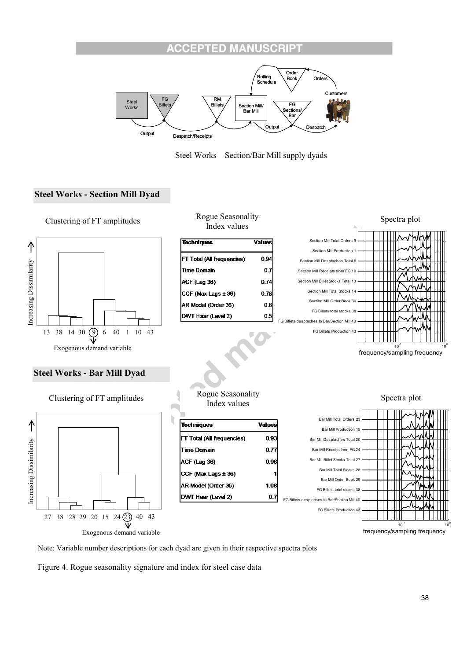

**Techniques** 

**Time Domain** 

ACF (Lag 36)

FT Total (All frequencies)

CCF (Max Lags ± 36)

AR Model (Order 36)

DWT Haar (Level 2)

Steel Works – Section/Bar Mill supply dyads

**Values** 

0.94

 $0.7$ 

 $0.74$ 

0.78

 $0.6$ 

 $0.5$ 

#### **Steel Works - Section Mill Dyad**





#### **Steel Works - Bar Mill Dyad**

Clustering of FT amplitudes



Rogue Seasonality Index values

| Techniques                 | Values |
|----------------------------|--------|
| FT Total (All frequencies) | 0.93   |
| <b>Time Domain</b>         | 0.77   |
| ACF (Lag 36)               | 0.98   |
| CCF (Max Lags ± 36)        |        |
| AR Model (Order 36)        | 1.08   |
| DWT Haar (Level 2)         | 0.7    |



frequency/sampling frequency





frequency/sampling frequency

Note: Variable number descriptions for each dyad are given in their respective spectra plots

Figure 4. Rogue seasonality signature and index for steel case data